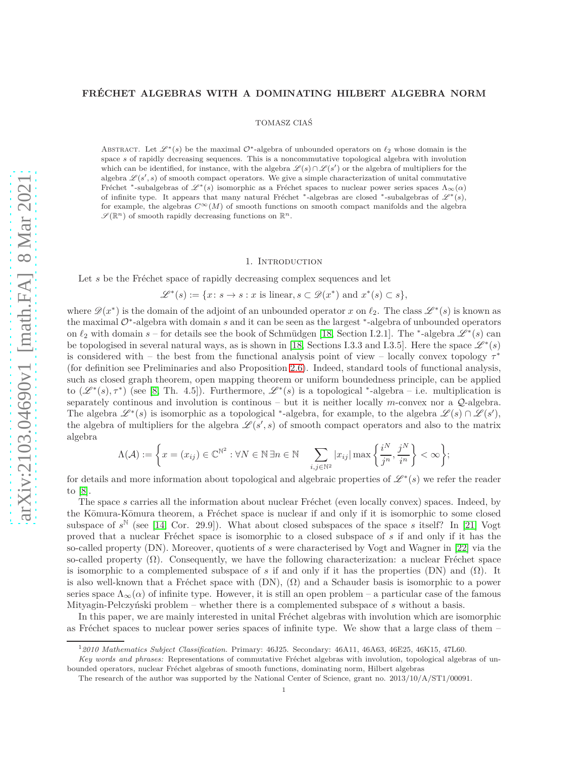# **FRECHET ALGEBRAS WITH A DOMINATING HILBERT ALGEBRA NORM ´**

### TOMASZ CIAŚ

ABSTRACT. Let  $\mathscr{L}^*(s)$  be the maximal  $\mathcal{O}^*$ -algebra of unbounded operators on  $\ell_2$  whose domain is the space *s* of rapidly decreasing sequences. This is a noncommutative topological algebra with involution which can be identified, for instance, with the algebra  $\mathscr{L}(s) \cap \mathscr{L}(s')$  or the algebra of multipliers for the algebra  $\mathscr{L}(s',s)$  of smooth compact operators. We give a simple characterization of unital commutative Fréchet \*-subalgebras of  $\mathscr{L}^*(s)$  isomorphic as a Fréchet spaces to nuclear power series spaces  $\Lambda_\infty(\alpha)$ of infinite type. It appears that many natural Fréchet <sup>∗</sup>-algebras are closed <sup>∗</sup>-subalgebras of  $\mathscr{L}^*(s)$ , for example, the algebras  $C^{\infty}(M)$  of smooth functions on smooth compact manifolds and the algebra  $\mathscr{S}(\mathbb{R}^n)$  of smooth rapidly decreasing functions on  $\mathbb{R}^n$ .

#### 1. INTRODUCTION

Let *s* be the Fréchet space of rapidly decreasing complex sequences and let

$$
\mathscr{L}^*(s):=\{x\colon s\to s: x\text{ is linear}, s\subset \mathscr{D}(x^*)\text{ and }x^*(s)\subset s\},
$$

where  $\mathscr{D}(x^*)$  is the domain of the adjoint of an unbounded operator *x* on  $\ell_2$ . The class  $\mathscr{L}^*(s)$  is known as the maximal <sup>O</sup><sup>∗</sup> -algebra with domain *s* and it can be seen as the largest <sup>∗</sup> -algebra of unbounded operators on  $\ell_2$  with domain  $s$  – for details see the book of Schmüdgen [\[18,](#page-18-0) Section I.2.1]. The <sup>\*</sup>-algebra  $\mathscr{L}^*(s)$  can be topologised in several natural ways, as is shown in [\[18,](#page-18-0) Sections I.3.3 and I.3.5]. Here the space  $\mathscr{L}^*(s)$ is considered with – the best from the functional analysis point of view – locally convex topology *τ* ∗ (for definition see Preliminaries and also Proposition [2.6\)](#page-3-0). Indeed, standard tools of functional analysis, such as closed graph theorem, open mapping theorem or uniform boundedness principle, can be applied to  $(\mathscr{L}^*(s), \tau^*)$  (see [\[8,](#page-18-1) Th. 4.5]). Furthermore,  $\mathscr{L}^*(s)$  is a topological <sup>\*</sup>-algebra – i.e. multiplication is separately continous and involution is continous – but it is neither locally  $m$ -convex nor a  $\mathcal{Q}$ -algebra. The algebra  $\mathscr{L}^*(s)$  is isomorphic as a topological <sup>∗</sup>-algebra, for example, to the algebra  $\mathscr{L}(s) \cap \mathscr{L}(s')$ , the algebra of multipliers for the algebra  $\mathscr{L}(s',s)$  of smooth compact operators and also to the matrix algebra

$$
\Lambda(\mathcal{A}) := \left\{ x = (x_{ij}) \in \mathbb{C}^{\mathbb{N}^2} : \forall N \in \mathbb{N} \, \exists n \in \mathbb{N} \quad \sum_{i,j \in \mathbb{N}^2} |x_{ij}| \max \left\{ \frac{i^N}{j^n}, \frac{j^N}{i^n} \right\} < \infty \right\};
$$

for details and more information about topological and algebraic properties of  $\mathscr{L}^*(s)$  we refer the reader to [\[8\]](#page-18-1).

The space *s* carries all the information about nuclear Fréchet (even locally convex) spaces. Indeed, by the Kōmura-Kōmura theorem, a Fréchet space is nuclear if and only if it is isomorphic to some closed subspace of  $s^{\mathbb{N}}$  (see [\[14,](#page-18-2) Cor. 29.9]). What about closed subspaces of the space *s* itself? In [\[21\]](#page-18-3) Vogt proved that a nuclear Fréchet space is isomorphic to a closed subspace of *s* if and only if it has the so-called property (DN). Moreover, quotients of *s* were characterised by Vogt and Wagner in [\[22\]](#page-18-4) via the so-called property  $(\Omega)$ . Consequently, we have the following characterization: a nuclear Fréchet space is isomorphic to a complemented subspace of *s* if and only if it has the properties (DN) and  $(\Omega)$ . It is also well-known that a Fréchet space with  $(DN)$ ,  $(\Omega)$  and a Schauder basis is isomorphic to a power series space  $\Lambda_{\infty}(\alpha)$  of infinite type. However, it is still an open problem – a particular case of the famous Mityagin-Pełczyński problem – whether there is a complemented subspace of *s* without a basis.

In this paper, we are mainly interested in unital Fréchet algebras with involution which are isomorphic as Fréchet spaces to nuclear power series spaces of infinite type. We show that a large class of them –

<sup>1</sup>*2010 Mathematics Subject Classification.* Primary: 46J25. Secondary: 46A11, 46A63, 46E25, 46K15, 47L60.

Key words and phrases: Representations of commutative Fréchet algebras with involution, topological algebras of unbounded operators, nuclear Fréchet algebras of smooth functions, dominating norm, Hilbert algebras

The research of the author was supported by the National Center of Science, grant no. 2013/10/A/ST1/00091.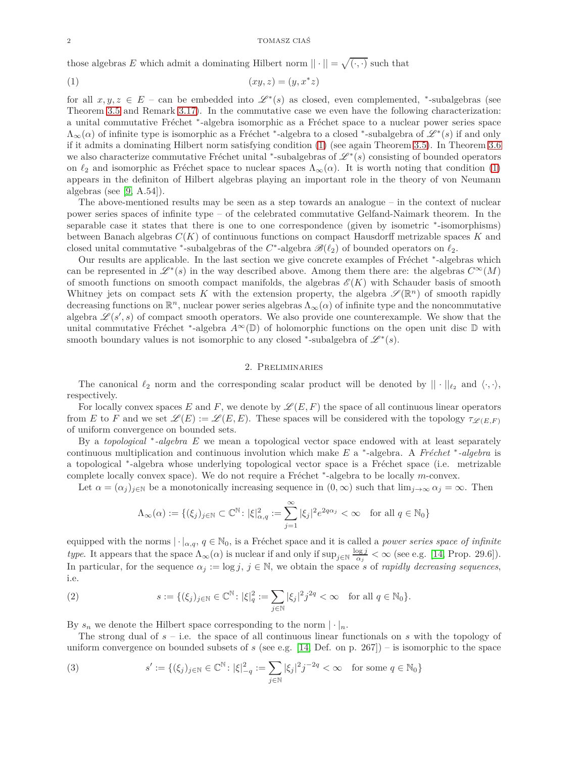those algebras *E* which admit a dominating Hilbert norm  $|| \cdot || = \sqrt{(\cdot, \cdot)}$  such that

<span id="page-1-0"></span>
$$
(1) \qquad \qquad (xy, z) = (y, x^*z)
$$

for all  $x, y, z \in E$  – can be embedded into  $\mathscr{L}^*(s)$  as closed, even complemented, \*-subalgebras (see Theorem [3.5](#page-4-0) and Remark [3.17\)](#page-9-0). In the commutative case we even have the following characterization: a unital commutative Fréchet <sup>\*</sup>-algebra isomorphic as a Fréchet space to a nuclear power series space  $\Lambda_{\infty}(\alpha)$  of infinite type is isomorphic as a Fréchet <sup>\*</sup>-algebra to a closed <sup>\*</sup>-subalgebra of  $\mathscr{L}^*(s)$  if and only if it admits a dominating Hilbert norm satisfying condition [\(1\)](#page-1-0) (see again Theorem [3.5\)](#page-4-0). In Theorem [3.6](#page-4-1) we also characterize commutative Fréchet unital <sup>∗</sup>-subalgebras of  $\mathcal{L}^*(s)$  consisting of bounded operators on  $\ell_2$  and isomorphic as Fréchet space to nuclear spaces  $\Lambda_{\infty}(\alpha)$ . It is worth noting that condition [\(1\)](#page-1-0) appears in the definiton of Hilbert algebras playing an important role in the theory of von Neumann algebras (see  $[9, A.54]$ ).

The above-mentioned results may be seen as a step towards an analogue – in the context of nuclear power series spaces of infinite type – of the celebrated commutative Gelfand-Naimark theorem. In the separable case it states that there is one to one correspondence (given by isometric  $*$ -isomorphisms) between Banach algebras *C*(*K*) of continuous functions on compact Hausdorff metrizable spaces *K* and closed unital commutative <sup>\*</sup>-subalgebras of the  $C^*$ -algebra  $\mathscr{B}(\ell_2)$  of bounded operators on  $\ell_2$ .

Our results are applicable. In the last section we give concrete examples of Fréchet \*-algebras which can be represented in  $\mathscr{L}^*(s)$  in the way described above. Among them there are: the algebras  $C^{\infty}(M)$ of smooth functions on smooth compact manifolds, the algebras  $\mathscr{E}(K)$  with Schauder basis of smooth Whitney jets on compact sets K with the extension property, the algebra  $\mathscr{S}(\mathbb{R}^n)$  of smooth rapidly decreasing functions on  $\mathbb{R}^n$ , nuclear power series algebras  $\Lambda_\infty(\alpha)$  of infinite type and the noncommutative algebra  $\mathscr{L}(s', s)$  of compact smooth operators. We also provide one counterexample. We show that the unital commutative Fréchet <sup>\*</sup>-algebra  $A^{\infty}(\mathbb{D})$  of holomorphic functions on the open unit disc  $\mathbb D$  with smooth boundary values is not isomorphic to any closed <sup>\*</sup>-subalgebra of  $\mathscr{L}^*(s)$ .

## 2. Preliminaries

The canonical  $\ell_2$  norm and the corresponding scalar product will be denoted by  $|| \cdot ||_{\ell_2}$  and  $\langle \cdot, \cdot \rangle$ , respectively.

For locally convex spaces E and F, we denote by  $\mathscr{L}(E, F)$  the space of all continuous linear operators from *E* to *F* and we set  $\mathscr{L}(E) := \mathscr{L}(E, E)$ . These spaces will be considered with the topology  $\tau_{\mathscr{L}(E,F)}$ of uniform convergence on bounded sets.

By a *topological* <sup>∗</sup> *-algebra E* we mean a topological vector space endowed with at least separately continuous multiplication and continuous involution which make *E* a <sup>\*</sup>-algebra. A *Fréchet* <sup>\*</sup>-algebra is a topological <sup>\*</sup>-algebra whose underlying topological vector space is a Fréchet space (i.e. metrizable complete locally convex space). We do not require a Fréchet <sup>\*</sup>-algebra to be locally *m*-convex.

Let  $\alpha = (\alpha_j)_{j \in \mathbb{N}}$  be a monotonically increasing sequence in  $(0, \infty)$  such that  $\lim_{j \to \infty} \alpha_j = \infty$ . Then

$$
\Lambda_{\infty}(\alpha) := \{(\xi_j)_{j \in \mathbb{N}} \subset \mathbb{C}^{\mathbb{N}} \colon |\xi|_{\alpha,q}^2 := \sum_{j=1}^{\infty} |\xi_j|^2 e^{2q\alpha_j} < \infty \quad \text{for all } q \in \mathbb{N}_0\}
$$

equipped with the norms  $|\cdot|_{\alpha,q}$ ,  $q \in \mathbb{N}_0$ , is a Fréchet space and it is called a *power series space of infinite type*. It appears that the space  $\Lambda_{\infty}(\alpha)$  is nuclear if and only if  $\sup_{j\in\mathbb{N}}\frac{\log j}{\alpha_j}$  $\frac{\log j}{\alpha_j} < \infty$  (see e.g. [\[14,](#page-18-2) Prop. 29.6]). In particular, for the sequence  $\alpha_j := \log j$ ,  $j \in \mathbb{N}$ , we obtain the space *s* of *rapidly decreasing sequences*, i.e.

(2) 
$$
s := \{(\xi_j)_{j \in \mathbb{N}} \in \mathbb{C}^{\mathbb{N}} \colon |\xi|_q^2 := \sum_{j \in \mathbb{N}} |\xi_j|^2 j^{2q} < \infty \quad \text{for all } q \in \mathbb{N}_0\}.
$$

By  $s_n$  we denote the Hilbert space corresponding to the norm  $|\cdot|_n$ .

The strong dual of  $s - i.e.$  the space of all continuous linear functionals on  $s$  with the topology of uniform convergence on bounded subsets of  $s$  (see e.g. [\[14,](#page-18-2) Def. on p. 267]) – is isomorphic to the space

(3) 
$$
s' := \{(\xi_j)_{j \in \mathbb{N}} \in \mathbb{C}^{\mathbb{N}} : |\xi|_{-q}^2 := \sum_{j \in \mathbb{N}} |\xi_j|^2 j^{-2q} < \infty \quad \text{for some } q \in \mathbb{N}_0\}
$$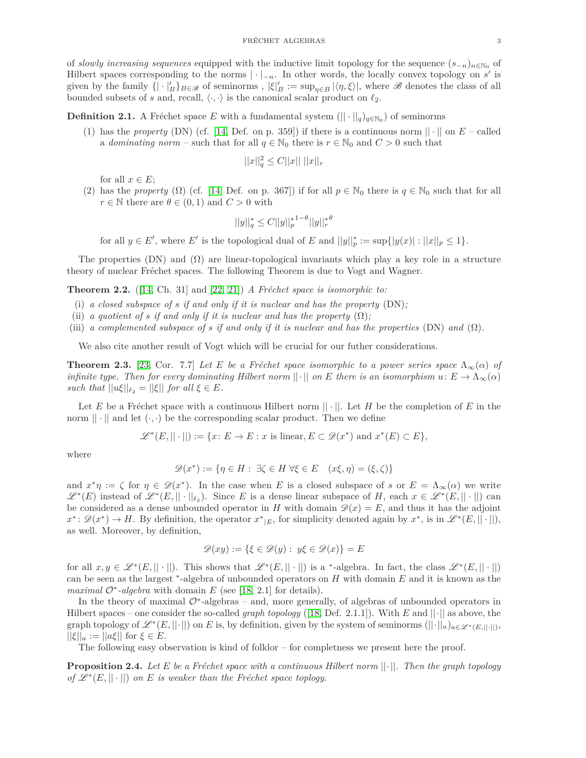of *slowly increasing sequences* equipped with the inductive limit topology for the sequence  $(s_{-n})_{n\in\mathbb{N}_0}$  of Hilbert spaces corresponding to the norms  $|\cdot|_{-n}$ . In other words, the locally convex topology on *s*' is given by the family  $\{|\cdot|_B'\}_{B\in\mathscr{B}}$  of seminorms,  $|\xi|_B' := \sup_{\eta \in B} |\langle \eta, \xi \rangle|$ , where  $\mathscr{B}$  denotes the class of all bounded subsets of *s* and, recall,  $\langle \cdot, \cdot \rangle$  is the canonical scalar product on  $\ell_2$ .

**Definition 2.1.** A Fréchet space *E* with a fundamental system  $(|| \cdot ||_q)_{q \in \mathbb{N}_0}$  of seminorms

(1) has the *property* (DN) (cf. [\[14,](#page-18-2) Def. on p. 359]) if there is a continuous norm  $|| \cdot ||$  on  $E$  – called a *dominating norm* – such that for all  $q \in \mathbb{N}_0$  there is  $r \in \mathbb{N}_0$  and  $C > 0$  such that

$$
||x||_q^2 \le C||x|| \; ||x||_r
$$

for all  $x \in E$ ;

(2) has the *property* ( $\Omega$ ) (cf. [\[14,](#page-18-2) Def. on p. 367]) if for all  $p \in \mathbb{N}_0$  there is  $q \in \mathbb{N}_0$  such that for all *r*  $\in$  *N* there are  $\theta \in (0,1)$  and  $C > 0$  with

$$
||y||_q^* \le C ||y||_p^{*1-\theta} ||y||_r^{*\theta}
$$

for all  $y \in E'$ , where  $E'$  is the topological dual of  $E$  and  $||y||_p^* := \sup\{|y(x)| : ||x||_p \le 1\}$ .

The properties (DN) and  $(\Omega)$  are linear-topological invariants which play a key role in a structure theory of nuclear Fréchet spaces. The following Theorem is due to Vogt and Wagner.

**Theorem 2.2.** ([\[14,](#page-18-2) Ch. 31] and [\[22,](#page-18-4) [21\]](#page-18-3)) *A Fréchet space is isomorphic to:* 

- (i) *a closed subspace of s if and only if it is nuclear and has the property* (DN)*;*
- (ii) *a quotient of s if and only if it is nuclear and has the property*  $(\Omega)$ ;
- (iii) *a complemented subspace of s if and only if it is nuclear and has the properties* (DN) *and* (Ω)*.*

We also cite another result of Vogt which will be crucial for our futher considerations.

**Theorem 2.3.** [\[23,](#page-18-6) Cor. 7.7] Let E be a Fréchet space isomorphic to a power series space  $\Lambda_{\infty}(\alpha)$  of *infinite type. Then for every dominating Hilbert norm*  $||\cdot||$  *on E there is an isomorphism*  $u: E \to \Lambda_{\infty}(\alpha)$ *such that*  $||u\xi||_{\ell_2} = ||\xi||$  *for all*  $\xi \in E$ *.* 

Let E be a Fréchet space with a continuous Hilbert norm  $|| \cdot ||$ . Let H be the completion of E in the norm  $|| \cdot ||$  and let  $(\cdot, \cdot)$  be the corresponding scalar product. Then we define

$$
\mathscr{L}^*(E, ||\cdot||) := \{x\colon E \to E : x \text{ is linear}, E \subset \mathscr{D}(x^*) \text{ and } x^*(E) \subset E\},\
$$

where

$$
\mathscr{D}(x^*) := \{ \eta \in H : \exists \zeta \in H \; \forall \xi \in E \quad (x\xi, \eta) = (\xi, \zeta) \}
$$

and  $x^*\eta := \zeta$  for  $\eta \in \mathscr{D}(x^*)$ . In the case when *E* is a closed subspace of *s* or  $E = \Lambda_\infty(\alpha)$  we write  $\mathscr{L}^*(E)$  instead of  $\mathscr{L}^*(E, ||\cdot||_{\ell_2})$ . Since *E* is a dense linear subspace of *H*, each  $x \in \mathscr{L}^*(E, ||\cdot||)$  can be considered as a dense unbounded operator in *H* with domain  $\mathcal{D}(x) = E$ , and thus it has the adjoint  $x^* \colon \mathscr{D}(x^*) \to H$ . By definition, the operator  $x^*_{|E}$ , for simplicity denoted again by  $x^*$ , is in  $\mathscr{L}^*(E, ||\cdot||)$ , as well. Moreover, by definition,

$$
\mathscr{D}(xy):=\{\xi\in\mathscr{D}(y):\;y\xi\in\mathscr{D}(x)\}=E
$$

for all  $x, y \in \mathscr{L}^*(E, ||\cdot||)$ . This shows that  $\mathscr{L}^*(E, ||\cdot||)$  is a \*-algebra. In fact, the class  $\mathscr{L}^*(E, ||\cdot||)$ can be seen as the largest <sup>∗</sup> -algebra of unbounded operators on *H* with domain *E* and it is known as the *maximal*  $\mathcal{O}^*$ -*algebra* with domain *E* (see [\[18,](#page-18-0) 2.1] for details).

In the theory of maximal  $\mathcal{O}^*$ -algebras – and, more generally, of algebras of unbounded operators in Hilbert spaces – one consider the so-called *graph topology* ([\[18,](#page-18-0) Def. 2.1.1]). With *E* and ||·|| as above, the graph topology of  $\mathscr{L}^*(E, ||\cdot||)$  on  $E$  is, by definition, given by the system of seminorms  $(||\cdot||_a)_{a\in \mathscr{L}^*(E, ||\cdot||)}$ ,  $||\xi||_a := ||a\xi||$  for  $\xi \in E$ .

The following easy observation is kind of folklor – for completness we present here the proof.

<span id="page-2-0"></span>**Proposition 2.4.** Let E be a Fréchet space with a continuous Hilbert norm  $||\cdot||$ . Then the graph topology *of*  $\mathscr{L}^*(E, || \cdot ||)$  *on E is weaker than the Fréchet space toplogy.*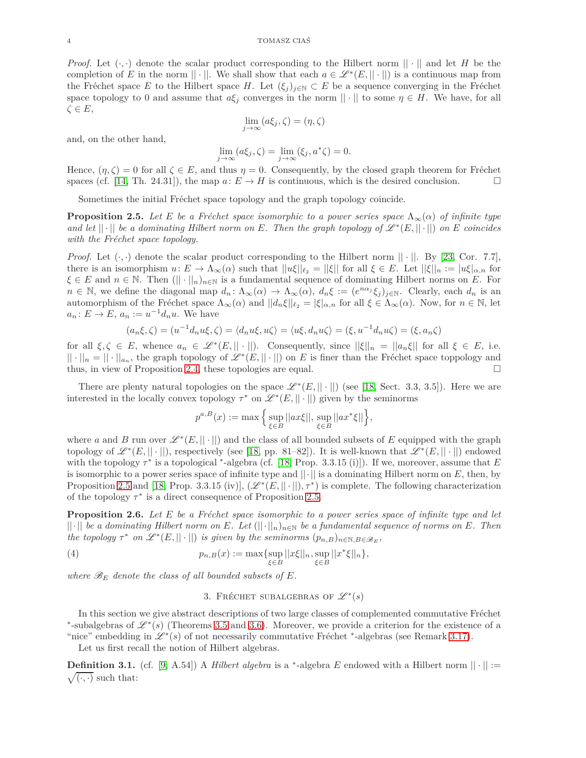*Proof.* Let  $(\cdot, \cdot)$  denote the scalar product corresponding to the Hilbert norm  $|| \cdot ||$  and let *H* be the completion of *E* in the norm  $|| \cdot ||$ . We shall show that each  $a \in \mathcal{L}^*(E, || \cdot ||)$  is a continuous map from the Fréchet space *E* to the Hilbert space *H*. Let  $(\xi_j)_{j\in\mathbb{N}}\subset E$  be a sequence converging in the Fréchet space topology to 0 and assume that  $a\xi_j$  converges in the norm  $|| \cdot ||$  to some  $\eta \in H$ . We have, for all *ζ* ∈ *E*,

$$
\lim_{j \to \infty} (a\xi_j, \zeta) = (\eta, \zeta)
$$

and, on the other hand,

$$
\lim_{j \to \infty} (a\xi_j, \zeta) = \lim_{j \to \infty} (\xi_j, a^*\zeta) = 0.
$$

Hence,  $(\eta, \zeta) = 0$  for all  $\zeta \in E$ , and thus  $\eta = 0$ . Consequently, by the closed graph theorem for Fréchet spaces (cf. [14. Th. 24.31]), the map  $a: E \to H$  is continuous, which is the desired conclusion. spaces (cf. [\[14,](#page-18-2) Th. 24.31]), the map  $a: E \to H$  is continuous, which is the desired conclusion.

Sometimes the initial Fréchet space topology and the graph topology coincide.

<span id="page-3-1"></span>**Proposition 2.5.** *Let E be a Fréchet space isomorphic to a power series space*  $\Lambda_{\infty}(\alpha)$  *of infinite type and let*  $|| \cdot ||$  *be a dominating Hilbert norm on*  $E$ *. Then the graph topology of*  $\mathscr{L}^*(E, || \cdot ||)$  *on*  $E$  *coincides with the Fréchet space topology.* 

*Proof.* Let  $(\cdot, \cdot)$  denote the scalar product corresponding to the Hilbert norm  $|| \cdot ||$ . By [\[23,](#page-18-6) Cor. 7.7], there is an isomorphism  $u: E \to \Lambda_\infty(\alpha)$  such that  $||u\xi||_{\ell_2} = ||\xi||$  for all  $\xi \in E$ . Let  $||\xi||_n := |u\xi|_{\alpha,n}$  for  $\xi \in E$  and  $n \in \mathbb{N}$ . Then  $(|| \cdot ||_n)_{n \in \mathbb{N}}$  is a fundamental sequence of dominating Hilbert norms on *E*. For  $n \in \mathbb{N}$ , we define the diagonal map  $d_n: \Lambda_\infty(\alpha) \to \Lambda_\infty(\alpha)$ ,  $d_n \xi := (e^{n\alpha_j} \xi_j)_{j \in \mathbb{N}}$ . Clearly, each  $d_n$  is an automorphism of the Fréchet space  $\Lambda_{\infty}(\alpha)$  and  $||d_n \xi||_{\ell_2} = |\xi|_{\alpha,n}$  for all  $\xi \in \Lambda_{\infty}(\alpha)$ . Now, for  $n \in \mathbb{N}$ , let  $a_n: E \to E$ ,  $a_n := u^{-1}d_nu$ . We have

$$
(a_n\xi,\zeta)=(u^{-1}d_n u\xi,\zeta)=\langle d_n u\xi,u\zeta\rangle=\langle u\xi,d_n u\zeta\rangle=(\xi,u^{-1}d_n u\zeta)=(\xi,a_n\zeta)
$$

for all  $\xi, \zeta \in E$ , whence  $a_n \in \mathcal{L}^*(E, ||\cdot||)$ . Consequently, since  $||\xi||_n = ||a_n \xi||$  for all  $\xi \in E$ , i.e.  $|| \cdot ||_n = || \cdot ||_{a_n}$ , the graph topology of  $\mathscr{L}^*(E, || \cdot ||)$  on *E* is finer than the Fréchet space toppology and thus, in view of Proposition [2.4,](#page-2-0) these topologies are equal.  $\Box$ 

There are plenty natural topologies on the space  $\mathscr{L}^*(E, || \cdot ||)$  (see [\[18,](#page-18-0) Sect. 3.3, 3.5]). Here we are interested in the locally convex topology  $\tau^*$  on  $\mathscr{L}^*(E, || \cdot ||)$  given by the seminorms

$$
p^{a,B}(x):=\max\Big\{\sup_{\xi\in B}||ax\xi||,\sup_{\xi\in B}||ax^*\xi||\Big\},
$$

where *a* and *B* run over  $\mathscr{L}^*(E, ||\cdot||)$  and the class of all bounded subsets of *E* equipped with the graph topology of  $\mathscr{L}^*(E, ||\cdot||)$ , respectively (see [\[18,](#page-18-0) pp. 81–82]). It is well-known that  $\mathscr{L}^*(E, ||\cdot||)$  endowed with the topology  $\tau^*$  is a topological <sup>\*</sup>-algebra (cf. [\[18,](#page-18-0) Prop. 3.3.15 (i)]). If we, moreover, assume that  $E$ is isomorphic to a power series space of infinite type and  $||\cdot||$  is a dominating Hilbert norm on  $E$ , then, by Proposition [2.5](#page-3-1) and [\[18,](#page-18-0) Prop. 3.3.15 (iv)],  $(\mathscr{L}^*(E, ||\cdot||), \tau^*)$  is complete. The following characterization of the topology  $\tau^*$  is a direct consequence of Proposition [2.5.](#page-3-1)

<span id="page-3-0"></span>**Proposition 2.6.** Let *E* be a Fréchet space isomorphic to a power series space of infinite type and let ||·|| *be a dominating Hilbert norm on E. Let* (||·||*n*)*n*∈<sup>N</sup> *be a fundamental sequence of norms on E. Then the topology*  $\tau^*$  *on*  $\mathscr{L}^*(E, || \cdot ||)$  *is given by the seminorms*  $(p_{n,B})_{n \in \mathbb{N}, B \in \mathscr{B}_E}$ ,

(4) 
$$
p_{n,B}(x) := \max\{\sup_{\xi \in B} ||x\xi||_n, \sup_{\xi \in B} ||x^*\xi||_n\},\
$$

where  $\mathscr{B}_E$  denote the class of all bounded subsets of  $E$ .

3. FRÉCHET SUBALGEBRAS OF  $\mathscr{L}^*(s)$ 

In this section we give abstract descriptions of two large classes of complemented commutative Fréchet \*-subalgebras of  $\mathscr{L}^*(s)$  (Theorems [3.5](#page-4-0) and [3.6\)](#page-4-1). Moreover, we provide a criterion for the existence of a "nice" embedding in  $\mathcal{L}^*(s)$  of not necessarily commutative Fréchet  $*$ -algebras (see Remark [3.17\)](#page-9-0).

Let us first recall the notion of Hilbert algebras.

<span id="page-3-2"></span>**Definition 3.1.** (cf. [\[9,](#page-18-5) A.54]) A *Hilbert algebra* is a <sup>\*</sup>-algebra  $E$  endowed with a Hilbert norm  $|| \cdot || :=$  $\sqrt{(\cdot,\cdot)}$  such that: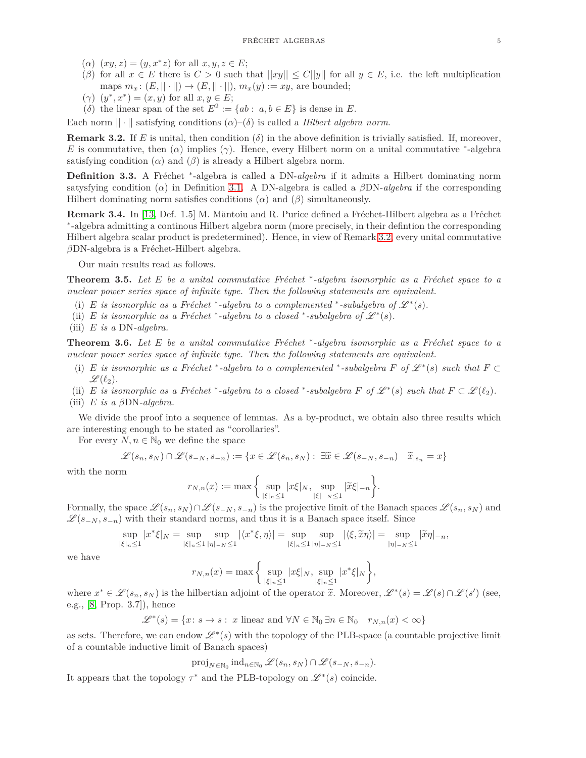- $(\alpha)$   $(xy, z) = (y, x^*z)$  for all  $x, y, z \in E$ ;
- (*β*) for all  $x \in E$  there is  $C > 0$  such that  $||xy|| \leq C||y||$  for all  $y \in E$ , i.e. the left multiplication maps  $m_x: (E, ||\cdot||) \rightarrow (E, ||\cdot||), m_x(y) := xy$ , are bounded;
- $(\gamma)(y^*, x^*) = (x, y)$  for all  $x, y \in E$ ;
- (*δ*) the linear span of the set  $E^2 := \{ab : a, b \in E\}$  is dense in *E*.

Each norm  $|| \cdot ||$  satisfying conditions  $(\alpha)$ – $(\delta)$  is called a *Hilbert algebra norm*.

<span id="page-4-2"></span>**Remark 3.2.** If *E* is unital, then condition  $(\delta)$  in the above definition is trivially satisfied. If, moreover, *E* is commutative, then  $(\alpha)$  implies  $(\gamma)$ . Hence, every Hilbert norm on a unital commutative <sup>\*</sup>-algebra satisfying condition  $(\alpha)$  and  $(\beta)$  is already a Hilbert algebra norm.

Definition 3.3. A Fréchet <sup>\*</sup>-algebra is called a DN-*algebra* if it admits a Hilbert dominating norm satysfying condition (*α*) in Definition [3.1.](#page-3-2) A DN-algebra is called a *β*DN-*algebra* if the corresponding Hilbert dominating norm satisfies conditions  $(\alpha)$  and  $(\beta)$  simultaneously.

**Remark 3.4.** In [\[13,](#page-18-7) Def. 1.5] M. Măntoiu and R. Purice defined a Fréchet-Hilbert algebra as a Fréchet ∗ -algebra admitting a continous Hilbert algebra norm (more precisely, in their defintion the corresponding Hilbert algebra scalar product is predetermined). Hence, in view of Remark [3.2,](#page-4-2) every unital commutative *β*DN-algebra is a Fréchet-Hilbert algebra.

Our main results read as follows.

<span id="page-4-0"></span>**Theorem 3.5.** *Let E be a unital commutative Fréchet* \*-algebra isomorphic as a Fréchet space to a *nuclear power series space of infinite type. Then the following statements are equivalent.*

- (i) *E* is isomorphic as a Fréchet \*-algebra to a complemented \*-subalgebra of  $\mathcal{L}^*(s)$ .
- (ii) *E* is isomorphic as a Fréchet \*-algebra to a closed \*-subalgebra of  $\mathcal{L}^*(s)$ .
- (iii) *E is a* DN*-algebra.*

<span id="page-4-1"></span>**Theorem 3.6.** *Let E be a unital commutative Fréchet* \*-algebra isomorphic as a Fréchet space to a *nuclear power series space of infinite type. Then the following statements are equivalent.*

- (i) *E* is isomorphic as a Fréchet \*-algebra to a complemented \*-subalgebra *F* of  $\mathcal{L}^*(s)$  such that  $F \subset$  $\mathscr{L}(\ell_2)$ .
- (ii) *E is isomorphic as a Fréchet* \*-algebra to a closed \*-subalgebra *F* of  $\mathscr{L}^*(s)$  such that  $F \subset \mathscr{L}(\ell_2)$ . (iii) *E is a β*DN*-algebra.*

We divide the proof into a sequence of lemmas. As a by-product, we obtain also three results which are interesting enough to be stated as "corollaries".

For every  $N, n \in \mathbb{N}_0$  we define the space

$$
\mathcal{L}(s_n, s_N) \cap \mathcal{L}(s_{-N}, s_{-n}) := \{ x \in \mathcal{L}(s_n, s_N) : \exists \widetilde{x} \in \mathcal{L}(s_{-N}, s_{-n}) \mid \widetilde{x}_{|s_n} = x \}
$$

with the norm

$$
r_{N,n}(x) := \max \bigg\{ \sup_{|\xi|_n \le 1} |x\xi|_N, \sup_{|\xi|_n \le 1} |\widetilde{x}\xi|_{-n} \bigg\}.
$$

Formally, the space  $\mathscr{L}(s_n, s_N) \cap \mathscr{L}(s_{-N}, s_{-n})$  is the projective limit of the Banach spaces  $\mathscr{L}(s_n, s_N)$  and  $\mathscr{L}(s_{-N}, s_{-n})$  with their standard norms, and thus it is a Banach space itself. Since

$$
\sup_{|\xi|_n\leq 1}|x^*\xi|_N=\sup_{|\xi|_n\leq 1}\sup_{|\eta|_-\leq 1}|\langle x^*\xi,\eta\rangle|=\sup_{|\xi|_n\leq 1}\sup_{|\eta|_-\leq 1}|\langle \xi,\widetilde{x}\eta\rangle|=\sup_{|\eta|_-\leq 1}|\widetilde{x}\eta|_{-n},
$$

we have

$$
r_{N,n}(x) = \max \bigg\{ \sup_{|\xi|_n \le 1} |x\xi|_N, \sup_{|\xi|_n \le 1} |x^*\xi|_N \bigg\},\,
$$

where  $x^* \in \mathcal{L}(s_n, s_N)$  is the hilbertian adjoint of the operator  $\tilde{x}$ . Moreover,  $\mathcal{L}^*(s) = \mathcal{L}(s) \cap \mathcal{L}(s')$  (see, e.g., [\[8,](#page-18-1) Prop. 3.7]), hence

$$
\mathcal{L}^*(s) = \{x \colon s \to s : x \text{ linear and } \forall N \in \mathbb{N}_0 \, \exists n \in \mathbb{N}_0 \quad r_{N,n}(x) < \infty\}
$$

as sets. Therefore, we can endow  $\mathscr{L}^*(s)$  with the topology of the PLB-space (a countable projective limit of a countable inductive limit of Banach spaces)

$$
\text{proj}_{N \in \mathbb{N}_0} \text{ind}_{n \in \mathbb{N}_0} \mathcal{L}(s_n, s_N) \cap \mathcal{L}(s_{-N}, s_{-n}).
$$

It appears that the topology  $\tau^*$  and the PLB-topology on  $\mathscr{L}^*(s)$  coincide.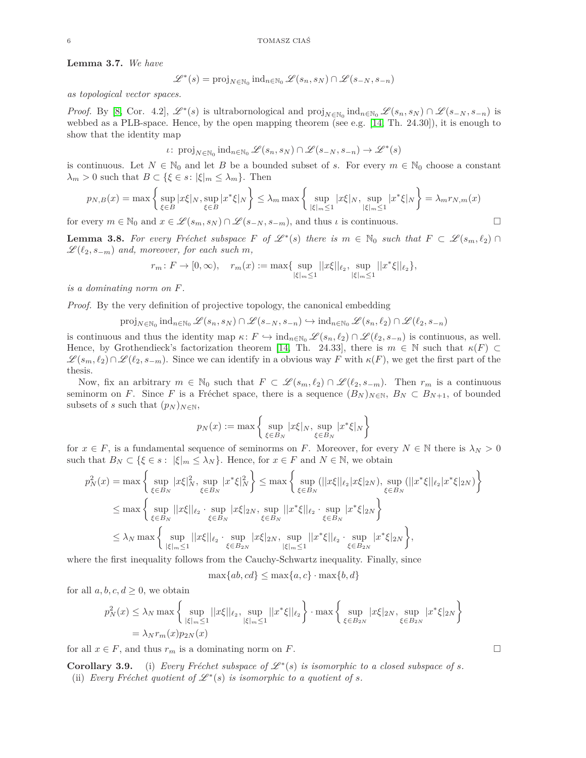**Lemma 3.7.** *We have*

$$
\mathcal{L}^*(s) = \text{proj}_{N \in \mathbb{N}_0} \text{ind}_{n \in \mathbb{N}_0} \mathcal{L}(s_n, s_N) \cap \mathcal{L}(s_{-N}, s_{-n})
$$

*as topological vector spaces.*

*Proof.* By [\[8,](#page-18-1) Cor. 4.2],  $\mathscr{L}^*(s)$  is ultrabornological and  $\text{proj}_{N \in \mathbb{N}_0} \text{ind}_{n \in \mathbb{N}_0} \mathscr{L}(s_n, s_N) \cap \mathscr{L}(s_{-N}, s_{-n})$  is webbed as a PLB-space. Hence, by the open mapping theorem (see e.g. [\[14,](#page-18-2) Th. 24.30]), it is enough to show that the identity map

$$
\iota\colon \operatorname{proj}_{N\in\mathbb{N}_0} \operatorname{ind}_{n\in\mathbb{N}_0}\mathscr{L}(s_n,s_N)\cap\mathscr{L}(s_{-N},s_{-n})\to\mathscr{L}^*(s)
$$

is continuous. Let  $N \in \mathbb{N}_0$  and let *B* be a bounded subset of *s*. For every  $m \in \mathbb{N}_0$  choose a constant  $\lambda_m > 0$  such that  $B \subset \{\xi \in s : |\xi|_m \leq \lambda_m\}$ . Then

$$
p_{N,B}(x) = \max\left\{\sup_{\xi \in B} |x\xi|_N, \sup_{\xi \in B} |x^*\xi|_N\right\} \le \lambda_m \max\left\{\sup_{|\xi|_m \le 1} |x\xi|_N, \sup_{|\xi|_m \le 1} |x^*\xi|_N\right\} = \lambda_m r_{N,m}(x)
$$

for every  $m \in \mathbb{N}_0$  and  $x \in \mathcal{L}(s_m, s_N) \cap \mathcal{L}(s_{-N}, s_{-m})$ , and thus  $\iota$  is continuous.

<span id="page-5-0"></span>**Lemma 3.8.** For every Fréchet subspace F of  $\mathcal{L}^*(s)$  there is  $m \in \mathbb{N}_0$  such that  $F \subset \mathcal{L}(s_m, \ell_2) \cap$  $\mathscr{L}(\ell_2, s_{-m})$  and, moreover, for each such m,

$$
r_m\colon F\to [0,\infty),\quad r_m(x):=\max\{\sup_{|\xi|_m\leq 1}||x\xi||_{\ell_2},\sup_{|\xi|_m\leq 1}||x^*\xi||_{\ell_2}\},
$$

*is a dominating norm on F.*

*Proof.* By the very definition of projective topology, the canonical embedding

$$
\text{proj}_{N \in \mathbb{N}_0} \, \text{ind}_{n \in \mathbb{N}_0} \, \mathscr{L}(s_n,s_N) \cap \mathscr{L}(s_{-N},s_{-n}) \hookrightarrow \text{ind}_{n \in \mathbb{N}_0} \, \mathscr{L}(s_n,\ell_2) \cap \mathscr{L}(\ell_2,s_{-n})
$$

is continuous and thus the identity map  $\kappa: F \hookrightarrow \text{ind}_{n \in \mathbb{N}_0} \mathscr{L}(s_n, \ell_2) \cap \mathscr{L}(\ell_2, s_{-n})$  is continuous, as well. Hence, by Grothendieck's factorization theorem [\[14,](#page-18-2) Th. 24.33], there is  $m \in \mathbb{N}$  such that  $\kappa(F) \subset$  $\mathscr{L}(s_m, \ell_2) \cap \mathscr{L}(\ell_2, s_{-m})$ . Since we can identify in a obvious way *F* with  $\kappa(F)$ , we get the first part of the thesis.

Now, fix an arbitrary  $m \in \mathbb{N}_0$  such that  $F \subset \mathscr{L}(s_m, \ell_2) \cap \mathscr{L}(\ell_2, s_{-m})$ . Then  $r_m$  is a continuous seminorm on *F*. Since *F* is a Fréchet space, there is a sequence  $(B_N)_{N\in\mathbb{N}}$ ,  $B_N \subset B_{N+1}$ , of bounded subsets of *s* such that  $(p_N)_{N \in \mathbb{N}}$ ,

$$
p_N(x) := \max \left\{ \sup_{\xi \in B_N} |x\xi|_N, \sup_{\xi \in B_N} |x^*\xi|_N \right\}
$$

for  $x \in F$ , is a fundamental sequence of seminorms on *F*. Moreover, for every  $N \in \mathbb{N}$  there is  $\lambda_N > 0$ such that  $B_N \subset \{\xi \in s : |\xi|_m \leq \lambda_N\}$ . Hence, for  $x \in F$  and  $N \in \mathbb{N}$ , we obtain

$$
\begin{split} p_N^2(x) & = \max\bigg\{\sup_{\xi\in B_N}|x\xi|_N^2,\sup_{\xi\in B_N}|x^*\xi|_N^2\bigg\} \leq \max\bigg\{\sup_{\xi\in B_N}(||x\xi||_{\ell_2}|x\xi|_{2N}),\sup_{\xi\in B_N}(||x^*\xi||_{\ell_2}|x^*\xi|_{2N})\bigg\}\\ & \leq \max\bigg\{\sup_{\xi\in B_N}||x\xi||_{\ell_2}\cdot\sup_{\xi\in B_N}|x\xi|_{2N},\sup_{\xi\in B_N}||x^*\xi||_{\ell_2}\cdot\sup_{\xi\in B_N}|x^*\xi|_{2N}\bigg\}\\ & \leq \lambda_N\max\bigg\{\sup_{|\xi|_m\leq 1}||x\xi||_{\ell_2}\cdot\sup_{\xi\in B_{2N}}|x\xi|_{2N},\sup_{|\xi|_m\leq 1}||x^*\xi||_{\ell_2}\cdot\sup_{\xi\in B_{2N}}|x^*\xi|_{2N}\bigg\}, \end{split}
$$

where the first inequality follows from the Cauchy-Schwartz inequality. Finally, since

$$
\max\{ab, cd\} \le \max\{a, c\} \cdot \max\{b, d\}
$$

for all  $a, b, c, d \geq 0$ , we obtain

$$
p_N^2(x) \le \lambda_N \max \left\{ \sup_{|\xi|_m \le 1} ||x\xi||_{\ell_2}, \sup_{|\xi|_m \le 1} ||x^* \xi||_{\ell_2} \right\} \cdot \max \left\{ \sup_{\xi \in B_{2N}} |x\xi|_{2N}, \sup_{\xi \in B_{2N}} |x^* \xi|_{2N} \right\}
$$
  
=  $\lambda_N r_m(x) p_{2N}(x)$ 

for all  $x \in F$ , and thus  $r_m$  is a dominating norm on *F*.

**Corollary 3.9.** (i) *Every Fréchet subspace of*  $\mathcal{L}^*(s)$  *is isomorphic to a closed subspace of s.* (ii) *Every Fréchet quotient of*  $\mathcal{L}^*(s)$  *is isomorphic to a quotient of s.*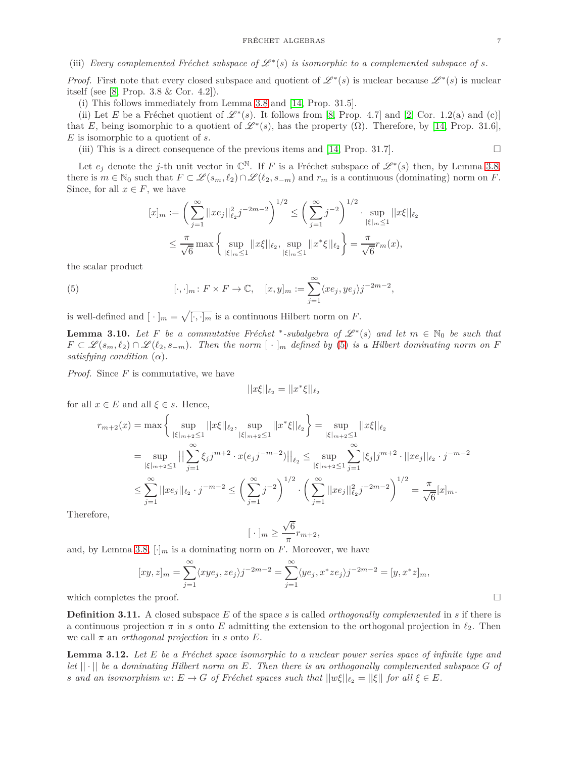# (iii) *Every complemented Fréchet subspace of*  $\mathscr{L}^*(s)$  *is isomorphic to a complemented subspace of s.*

*Proof.* First note that every closed subspace and quotient of  $\mathscr{L}^*(s)$  is nuclear because  $\mathscr{L}^*(s)$  is nuclear itself (see [\[8,](#page-18-1) Prop. 3.8 & Cor. 4.2]).

(i) This follows immediately from Lemma [3.8](#page-5-0) and [\[14,](#page-18-2) Prop. 31.5].

(ii) Let *E* be a Fréchet quotient of  $\mathscr{L}^*(s)$ . It follows from [\[8,](#page-18-1) Prop. 4.7] and [\[2,](#page-18-8) Cor. 1.2(a) and (c)] that *E*, being isomorphic to a quotient of  $\mathscr{L}^*(s)$ , has the property  $(\Omega)$ . Therefore, by [\[14,](#page-18-2) Prop. 31.6], *E* is isomorphic to a quotient of *s*.

(iii) This is a direct consequence of the previous items and [\[14,](#page-18-2) Prop. 31.7].

Let  $e_j$  denote the *j*-th unit vector in  $\mathbb{C}^{\mathbb{N}}$ . If *F* is a Fréchet subspace of  $\mathscr{L}^*(s)$  then, by Lemma [3.8,](#page-5-0) there is  $m \in \mathbb{N}_0$  such that  $F \subset \mathscr{L}(s_m, \ell_2) \cap \mathscr{L}(\ell_2, s_{-m})$  and  $r_m$  is a continuous (dominating) norm on *F*. Since, for all  $x \in F$ , we have

<span id="page-6-0"></span>
$$
[x]_m := \left(\sum_{j=1}^{\infty} ||xe_j||_{\ell_2}^2 j^{-2m-2}\right)^{1/2} \le \left(\sum_{j=1}^{\infty} j^{-2}\right)^{1/2} \cdot \sup_{|\xi|_m \le 1} ||x\xi||_{\ell_2}
$$
  

$$
\le \frac{\pi}{\sqrt{6}} \max \left\{\sup_{|\xi|_m \le 1} ||x\xi||_{\ell_2}, \sup_{|\xi|_m \le 1} ||x^*\xi||_{\ell_2}\right\} = \frac{\pi}{\sqrt{6}} r_m(x),
$$

the scalar product

(5) 
$$
[\cdot, \cdot]_m : F \times F \to \mathbb{C}, \quad [x, y]_m := \sum_{j=1}^{\infty} \langle x e_j, y e_j \rangle j^{-2m-2},
$$

is well-defined and  $[\cdot]_m = \sqrt{[\cdot, \cdot]_m}$  is a continuous Hilbert norm on *F*.

<span id="page-6-2"></span>**Lemma 3.10.** *Let*  $F$  *be a commutative Fréchet* \*-subalgebra of  $\mathscr{L}^*(s)$  and let  $m \in \mathbb{N}_0$  be such that  $F \subset \mathcal{L}(s_m, \ell_2) \cap \mathcal{L}(\ell_2, s_{-m})$ . Then the norm  $[\cdot]_m$  defined by [\(5\)](#page-6-0) *is a Hilbert dominating norm on F satisfying condition*  $(\alpha)$ *.* 

*Proof.* Since *F* is commutative, we have

$$
||x\xi||_{\ell_2} = ||x^*\xi||_{\ell_2}
$$

for all  $x \in E$  and all  $\xi \in s$ . Hence,

$$
r_{m+2}(x) = \max \left\{ \sup_{|\xi|_{m+2} \le 1} ||x\xi||_{\ell_2}, \sup_{|\xi|_{m+2} \le 1} ||x^* \xi||_{\ell_2} \right\} = \sup_{|\xi|_{m+2} \le 1} ||x\xi||_{\ell_2}
$$
  
\n
$$
= \sup_{|\xi|_{m+2} \le 1} ||\sum_{j=1}^{\infty} \xi_j j^{m+2} \cdot x(e_j j^{-m-2})||_{\ell_2} \le \sup_{|\xi|_{m+2} \le 1} \sum_{j=1}^{\infty} |\xi_j| j^{m+2} \cdot ||x e_j||_{\ell_2} \cdot j^{-m-2}
$$
  
\n
$$
\le \sum_{j=1}^{\infty} ||x e_j||_{\ell_2} \cdot j^{-m-2} \le \left(\sum_{j=1}^{\infty} j^{-2}\right)^{1/2} \cdot \left(\sum_{j=1}^{\infty} ||x e_j||_{\ell_2}^2 j^{-2m-2}\right)^{1/2} = \frac{\pi}{\sqrt{6}} [x]_m.
$$

Therefore,

$$
[\cdot]_m \ge \frac{\sqrt{6}}{\pi} r_{m+2},
$$

and, by Lemma [3.8,](#page-5-0)  $[\cdot]_m$  is a dominating norm on  $F$ . Moreover, we have

$$
[xy, z]_m = \sum_{j=1}^{\infty} \langle xye_j, ze_j \rangle j^{-2m-2} = \sum_{j=1}^{\infty} \langle ye_j, x^*ze_j \rangle j^{-2m-2} = [y, x^*z]_m,
$$

which completes the proof.  $\Box$ 

**Definition 3.11.** A closed subspace *E* of the space *s* is called *orthogonally complemented* in *s* if there is a continuous projection *π* in *s* onto *E* admitting the extension to the orthogonal projection in *ℓ*2. Then we call  $\pi$  an *orthogonal projection* in *s* onto *E*.

<span id="page-6-1"></span>**Lemma 3.12.** Let E be a Fréchet space isomorphic to a nuclear power series space of infinite type and *let*  $|| \cdot ||$  *be a dominating Hilbert norm on*  $E$ *. Then there is an orthogonally complemented subspace*  $G$  *of s* and an isomorphism  $w: E \to G$  of Fréchet spaces such that  $||w\xi||_{\ell_2} = ||\xi||$  for all  $\xi \in E$ .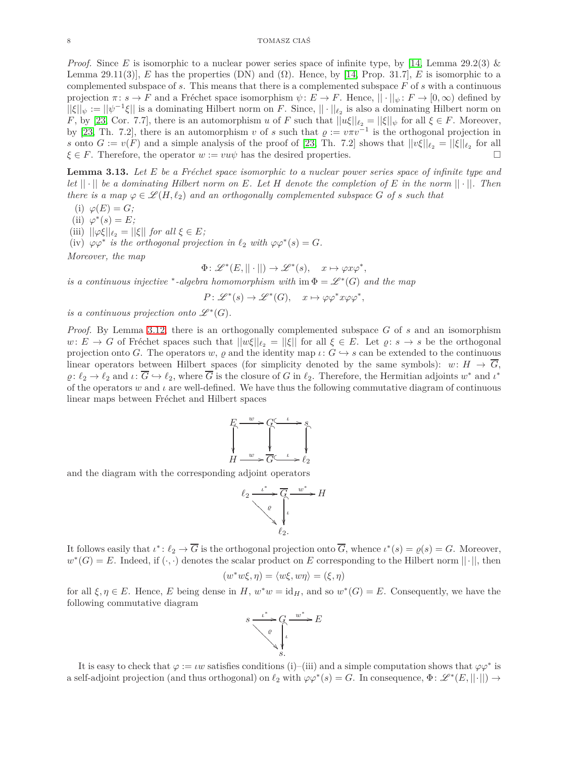*Proof.* Since *E* is isomorphic to a nuclear power series space of infinite type, by [\[14,](#page-18-2) Lemma 29.2(3) & Lemma 29.11(3)], *E* has the properties (DN) and ( $\Omega$ ). Hence, by [\[14,](#page-18-2) Prop. 31.7], *E* is isomorphic to a complemented subspace of *s*. This means that there is a complemented subspace *F* of *s* with a continuous projection  $\pi: s \to F$  and a Fréchet space isomorphism  $\psi: E \to F$ . Hence,  $||\cdot||_{\psi}: F \to [0, \infty)$  defined by  $||\xi||_{\psi} := ||\psi^{-1}\xi||$  is a dominating Hilbert norm on *F*. Since,  $|| \cdot ||_{\ell_2}$  is also a dominating Hilbert norm on *F*, by [\[23,](#page-18-6) Cor. 7.7], there is an automorphism *u* of *F* such that  $||u\xi||_{\ell_2} = ||\xi||_{\psi}$  for all  $\xi \in F$ . Moreover, by [\[23,](#page-18-6) Th. 7.2], there is an automorphism *v* of *s* such that  $\rho := v \pi v^{-1}$  is the orthogonal projection in *s* onto  $G := v(F)$  and a simple analysis of the proof of [\[23,](#page-18-6) Th. 7.2] shows that  $||v\xi||_{\ell_2} = ||\xi||_{\ell_2}$  for all  $\xi \in F$ . Therefore, the operator  $w := v u \psi$  has the desired properties.

<span id="page-7-0"></span>**Lemma 3.13.** Let E be a Fréchet space isomorphic to a nuclear power series space of infinite type and *let*  $|| \cdot ||$  *be a dominating Hilbert norm on*  $E$ *. Let*  $H$  *denote the completion of*  $E$  *in the norm*  $|| \cdot ||$ *. Then there is a map*  $\varphi \in \mathcal{L}(H, \ell_2)$  *and an orthogonally complemented subspace G of s such that* 

 $(i)$   $\varphi(E) = G$ ;

 $(iii) \varphi^*(s) = E;$ 

(iii)  $||\varphi \xi||_{\ell_2} = ||\xi||$  *for all*  $\xi \in E$ *;* 

(iv)  $\varphi \varphi^*$  *is the orthogonal projection in*  $\ell_2$  *with*  $\varphi \varphi^*(s) = G$ *.* 

*Moreover, the map*

$$
\Phi\colon \mathscr{L}^\ast(E,||\cdot||) \to \mathscr{L}^\ast(s), \quad x \mapsto \varphi x \varphi^\ast,
$$

*is a continuous injective* \*-algebra homomorphism with  $\text{im } \Phi = \mathscr{L}^*(G)$  and the map

 $P: \mathscr{L}^*(s) \to \mathscr{L}^*(G)$ ,  $x \mapsto \varphi \varphi^* x \varphi \varphi^*$ ,

*is a continuous projection onto*  $\mathscr{L}^*(G)$ *.* 

*Proof.* By Lemma [3.12,](#page-6-1) there is an orthogonally complemented subspace *G* of *s* and an isomorphism  $w: E \to G$  of Fréchet spaces such that  $||w\xi||_{\ell_2} = ||\xi||$  for all  $\xi \in E$ . Let  $\varrho: s \to s$  be the orthogonal projection onto *G*. The operators *w*,  $\varrho$  and the identity map  $\iota: G \hookrightarrow s$  can be extended to the continuous linear operators between Hilbert spaces (for simplicity denoted by the same symbols):  $w: H \to \overline{G}$ ,  $\varrho: \ell_2 \to \ell_2$  and  $\iota: \overline{G} \hookrightarrow \ell_2$ , where  $\overline{G}$  is the closure of *G* in  $\ell_2$ . Therefore, the Hermitian adjoints  $w^*$  and  $\iota^*$ of the operators *w* and *ι* are well-defined. We have thus the following commutative diagram of continuous linear maps between Fréchet and Hilbert spaces



and the diagram with the corresponding adjoint operators



It follows easily that  $\iota^* : \ell_2 \to \overline{G}$  is the orthogonal projection onto  $\overline{G}$ , whence  $\iota^*(s) = \varrho(s) = G$ . Moreover,  $w^*(G) = E$ . Indeed, if  $(\cdot, \cdot)$  denotes the scalar product on *E* corresponding to the Hilbert norm  $||\cdot||$ , then

$$
(w^*w\xi,\eta)=\langle w\xi,w\eta\rangle=(\xi,\eta)
$$

for all  $\xi, \eta \in E$ . Hence, *E* being dense in *H*,  $w^*w = id_H$ , and so  $w^*(G) = E$ . Consequently, we have the following commutative diagram



It is easy to check that  $\varphi := \iota w$  satisfies conditions (i)–(iii) and a simple computation shows that  $\varphi \varphi^*$  is a self-adjoint projection (and thus orthogonal) on  $\ell_2$  with  $\varphi\varphi^*(s) = G$ . In consequence,  $\Phi: \mathscr{L}^*(E, ||\cdot||) \to$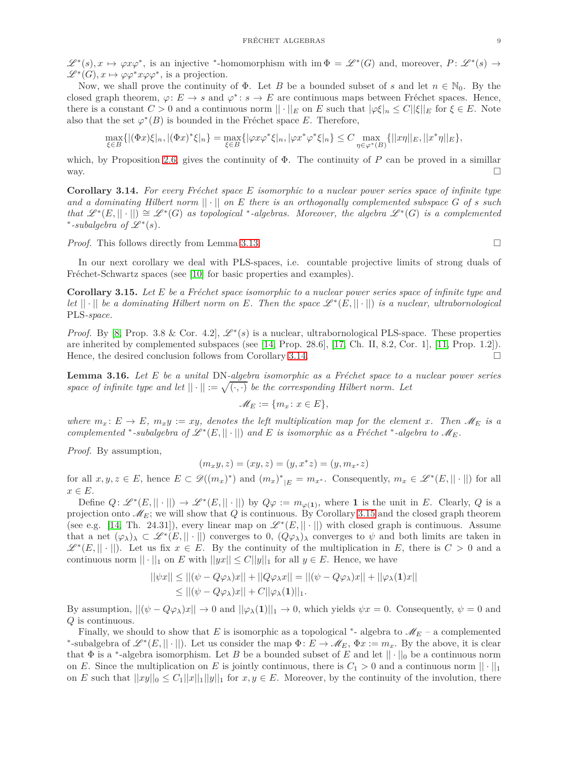$\mathscr{L}^*(s), x \mapsto \varphi x \varphi^*$ , is an injective \*-homomorphism with  $\text{im } \Phi = \mathscr{L}^*(G)$  and, moreover,  $P: \mathscr{L}^*(s) \to$  $\mathscr{L}^*(G)$ ,  $x \mapsto \varphi \varphi^* x \varphi \varphi^*$ , is a projection.

Now, we shall prove the continuity of  $\Phi$ . Let *B* be a bounded subset of *s* and let  $n \in \mathbb{N}_0$ . By the closed graph theorem,  $\varphi: E \to s$  and  $\varphi^*: s \to E$  are continuous maps between Fréchet spaces. Hence, there is a constant  $C > 0$  and a continuous norm  $|| \cdot ||_E$  on  $E$  such that  $|\varphi \xi|_n \leq C ||\xi||_E$  for  $\xi \in E$ . Note also that the set  $\varphi^*(B)$  is bounded in the Fréchet space *E*. Therefore,

$$
\max_{\xi \in B} \{ |(\Phi x)\xi|_n, |(\Phi x)^*\xi|_n \} = \max_{\xi \in B} \{ |\varphi x \varphi^*\xi|_n, |\varphi x^* \varphi^*\xi|_n \} \leq C \max_{\eta \in \varphi^*(B)} \{ ||x\eta||_E, ||x^*\eta||_E \},
$$

which, by Proposition [2.6,](#page-3-0) gives the continuity of  $\Phi$ . The continuity of P can be proved in a simillar way.  $\square$ 

<span id="page-8-0"></span>**Corollary 3.14.** For every Fréchet space E isomorphic to a nuclear power series space of infinite type *and a dominating Hilbert norm* || · || *on E there is an orthogonally complemented subspace G of s such*  $that \mathscr{L}^*(E, ||\cdot||) \cong \mathscr{L}^*(G)$  as topological <sup>\*</sup>-algebras. Moreover, the algebra  $\mathscr{L}^*(G)$  is a complemented \*-subalgebra of  $\mathscr{L}^*(s)$ .

*Proof.* This follows directly from Lemma [3.13.](#page-7-0) □

In our next corollary we deal with PLS-spaces, i.e. countable projective limits of strong duals of Fréchet-Schwartz spaces (see [\[10\]](#page-18-9) for basic properties and examples).

<span id="page-8-1"></span>**Corollary 3.15.** Let *E* be a Fréchet space isomorphic to a nuclear power series space of infinite type and *let*  $|| \cdot ||$  *be a dominating Hilbert norm on E. Then the space*  $\mathscr{L}^*(E, || \cdot ||)$  *is a nuclear, ultrabornological* PLS*-space.*

*Proof.* By [\[8,](#page-18-1) Prop. 3.8 & Cor. 4.2],  $\mathcal{L}^*(s)$  is a nuclear, ultrabornological PLS-space. These properties are inherited by complemented subspaces (see [\[14,](#page-18-2) Prop. 28.6], [\[17,](#page-18-10) Ch. II, 8.2, Cor. 1], [\[11,](#page-18-11) Prop. 1.2]). Hence, the desired conclusion follows from Corollary [3.14.](#page-8-0)

<span id="page-8-2"></span>**Lemma 3.16.** *Let E be a unital* DN-*algebra isomorphic as a Fréchet space to a nuclear power series space of infinite type and let*  $|| \cdot || := \sqrt{(\cdot, \cdot)}$  *be the corresponding Hilbert norm. Let* 

$$
\mathscr{M}_E:=\{m_x\colon x\in E\},
$$

*where*  $m_x$ :  $E \to E$ *,*  $m_x y := xy$ *, denotes the left multiplication map for the element x. Then*  $M_E$  *is a complemented* \*-subalgebra of  $\mathscr{L}^*(E, ||\cdot||)$  and E is isomorphic as a Fréchet \*-algebra to  $\mathscr{M}_E$ .

*Proof.* By assumption,

$$
(m_x y, z) = (xy, z) = (y, x^* z) = (y, m_{x^*} z)
$$

for all  $x, y, z \in E$ , hence  $E \subset \mathscr{D}((m_x)^*)$  and  $(m_x)^*_{|E} = m_x$ . Consequently,  $m_x \in \mathscr{L}^*(E, ||\cdot||)$  for all *x* ∈ *E*.

Define  $Q: \mathscr{L}^*(E, ||\cdot||) \to \mathscr{L}^*(E, ||\cdot||)$  by  $Q\varphi := m_{\varphi(1)}$ , where 1 is the unit in *E*. Clearly, *Q* is a projection onto  $\mathcal{M}_E$ ; we will show that *Q* is continuous. By Corollary [3.15](#page-8-1) and the closed graph theorem (see e.g. [\[14,](#page-18-2) Th. 24.31]), every linear map on  $\mathscr{L}^*(E, || \cdot ||)$  with closed graph is continuous. Assume that a net  $(\varphi_{\lambda})_{\lambda} \subset \mathscr{L}^*(E, ||\cdot||)$  converges to 0,  $(Q\varphi_{\lambda})_{\lambda}$  converges to  $\psi$  and both limits are taken in  $\mathscr{L}^*(E, || \cdot ||)$ . Let us fix  $x \in E$ . By the continuity of the multiplication in *E*, there is  $C > 0$  and a continuous norm  $|| \cdot ||_1$  on *E* with  $||yx|| \leq C ||y||_1$  for all  $y \in E$ . Hence, we have

$$
||\psi x|| \le ||(\psi - Q\varphi_\lambda)x|| + ||Q\varphi_\lambda x|| = ||(\psi - Q\varphi_\lambda)x|| + ||\varphi_\lambda(\mathbf{1})x||
$$
  
\n
$$
\le ||(\psi - Q\varphi_\lambda)x|| + C||\varphi_\lambda(\mathbf{1})||_1.
$$

By assumption,  $||(\psi - Q\varphi_\lambda)x|| \to 0$  and  $||\varphi_\lambda(1)||_1 \to 0$ , which yields  $\psi x = 0$ . Consequently,  $\psi = 0$  and *Q* is continuous.

Finally, we should to show that *E* is isomorphic as a topological <sup>\*</sup>- algebra to  $\mathcal{M}_E$  – a complemented \*-subalgebra of  $\mathscr{L}^*(E, ||\cdot||)$ . Let us consider the map  $\Phi: E \to \mathscr{M}_E$ ,  $\Phi x := m_x$ . By the above, it is clear that  $\Phi$  is a <sup>\*</sup>-algebra isomorphism. Let *B* be a bounded subset of *E* and let  $||\cdot||_0$  be a continuous norm on *E*. Since the multiplication on *E* is jointly continuous, there is  $C_1 > 0$  and a continuous norm  $|| \cdot ||_1$ on *E* such that  $||xy||_0 \leq C_1||x||_1||y||_1$  for  $x, y \in E$ . Moreover, by the continuity of the involution, there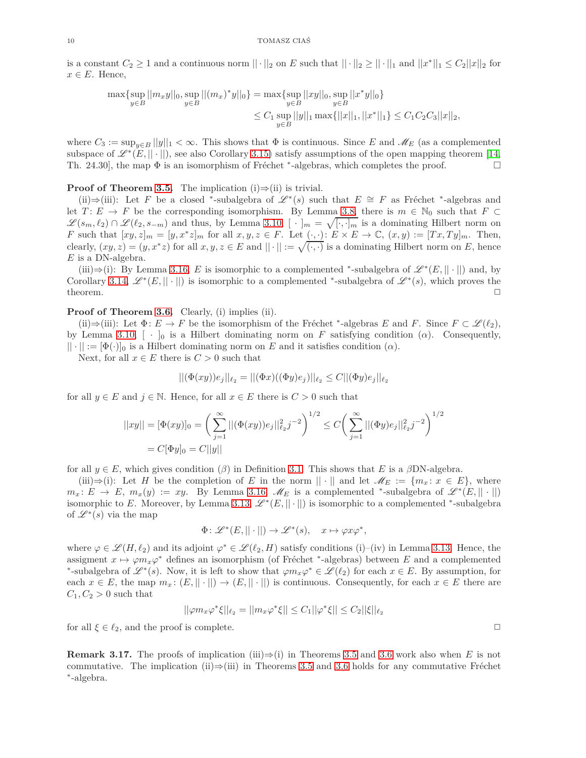is a constant  $C_2 \geq 1$  and a continuous norm  $|| \cdot ||_2$  on *E* such that  $|| \cdot ||_2 \geq || \cdot ||_1$  and  $||x^*||_1 \leq C_2 ||x||_2$  for  $x \in E$ . Hence,

$$
\max\{\sup_{y\in B}||m_xy||_0, \sup_{y\in B}||(m_x)^*y||_0\} = \max\{\sup_{y\in B}||xy||_0, \sup_{y\in B}||x^*y||_0\}
$$
  

$$
\leq C_1 \sup_{y\in B}||y||_1 \max\{||x||_1, ||x^*||_1\} \leq C_1C_2C_3||x||_2,
$$

where  $C_3 := \sup_{y \in B} ||y||_1 < \infty$ . This shows that  $\Phi$  is continuous. Since *E* and  $\mathcal{M}_E$  (as a complemented subspace of  $\mathscr{L}^*(E, ||\cdot||)$ , see also Corollary [3.15\)](#page-8-1) satisfy assumptions of the open mapping theorem [\[14,](#page-18-2) Th. 24.30], the map  $\Phi$  is an isomorphism of Fréchet \*-algebras, which completes the proof.

# **Proof of Theorem [3.5.](#page-4-0)** The implication  $(i) \Rightarrow (ii)$  is trivial.

(ii)⇒(iii): Let *F* be a closed \*-subalgebra of  $\mathscr{L}^*(s)$  such that  $E \cong F$  as Fréchet \*-algebras and let  $T: E \to F$  be the corresponding isomorphism. By Lemma [3.8,](#page-5-0) there is  $m \in \mathbb{N}_0$  such that  $F \subset$  $\mathscr{L}(s_m, \ell_2) \cap \mathscr{L}(\ell_2, s_{-m})$  and thus, by Lemma [3.10,](#page-6-2)  $[\cdot]_m = \sqrt{[\cdot, \cdot]_m}$  is a dominating Hilbert norm on *F* such that  $[xy, z]_m = [y, x^*z]_m$  for all  $x, y, z \in F$ . Let  $\overline{( \cdot, \cdot )} : E \times E \to \mathbb{C}, (x, y) := [Tx, Ty]_m$ . Then, clearly,  $(xy, z) = (y, x^*z)$  for all  $x, y, z \in E$  and  $||\cdot|| := \sqrt{(\cdot, \cdot)}$  is a dominating Hilbert norm on *E*, hence *E* is a DN-algebra.

(iii)⇒(i): By Lemma [3.16,](#page-8-2) *E* is isomorphic to a complemented \*-subalgebra of  $\mathscr{L}^*(E, || \cdot ||)$  and, by Corollary [3.14,](#page-8-0)  $\mathscr{L}^*(E, ||\cdot||)$  is isomorphic to a complemented \*-subalgebra of  $\mathscr{L}^*(s)$ , which proves the theorem.  $\Box$ 

## **Proof of Theorem [3.6.](#page-4-1)** Clearly, (i) implies (ii).

(ii)⇒(iii): Let  $\Phi: E \to F$  be the isomorphism of the Fréchet \*-algebras *E* and *F*. Since  $F \subset \mathcal{L}(\ell_2)$ , by Lemma [3.10,](#page-6-2)  $[\cdot]_0$  is a Hilbert dominating norm on *F* satisfying condition ( $\alpha$ ). Consequently,  $|| \cdot || := [\Phi(\cdot)]_0$  is a Hilbert dominating norm on *E* and it satisfies condition  $(\alpha)$ .

Next, for all  $x \in E$  there is  $C > 0$  such that

$$
||(\Phi(xy))e_j||_{\ell_2} = ||(\Phi x)((\Phi y)e_j)||_{\ell_2} \leq C ||(\Phi y)e_j||_{\ell_2}
$$

for all  $y \in E$  and  $j \in \mathbb{N}$ . Hence, for all  $x \in E$  there is  $C > 0$  such that

$$
||xy|| = [\Phi(xy)]_0 = \left(\sum_{j=1}^{\infty} ||(\Phi(xy))e_j||_{\ell_2}^2 j^{-2}\right)^{1/2} \le C\left(\sum_{j=1}^{\infty} ||(\Phi y)e_j||_{\ell_2}^2 j^{-2}\right)^{1/2}
$$
  
=  $C[\Phi y]_0 = C||y||$ 

for all  $y \in E$ , which gives condition ( $\beta$ ) in Definition [3.1.](#page-3-2) This shows that *E* is a  $\beta$ DN-algebra.

(iii)⇒(i): Let *H* be the completion of *E* in the norm  $|| \cdot ||$  and let  $\mathcal{M}_E := \{m_x : x \in E\}$ , where  $m_x: E \to E$ ,  $m_x(y) := xy$ . By Lemma [3.16,](#page-8-2)  $M_E$  is a complemented \*-subalgebra of  $\mathscr{L}^*(E, ||\cdot||)$ isomorphic to *E*. Moreover, by Lemma [3.13,](#page-7-0)  $\mathscr{L}^*(E, ||\cdot||)$  is isomorphic to a complemented \*-subalgebra of  $\mathscr{L}^*(s)$  via the map

$$
\Phi\colon \mathscr{L}^\ast(E,||\cdot||) \to \mathscr{L}^\ast(s), \quad x \mapsto \varphi x \varphi^\ast,
$$

where  $\varphi \in \mathscr{L}(H,\ell_2)$  and its adjoint  $\varphi^* \in \mathscr{L}(\ell_2,H)$  satisfy conditions (i)–(iv) in Lemma [3.13.](#page-7-0) Hence, the assigment  $x \mapsto \varphi m_x \varphi^*$  defines an isomorphism (of Fréchet \*-algebras) between *E* and a complemented \*-subalgebra of  $\mathscr{L}^*(s)$ . Now, it is left to show that  $\varphi m_x \varphi^* \in \mathscr{L}(\ell_2)$  for each  $x \in E$ . By assumption, for each  $x \in E$ , the map  $m_x: (E, \|\cdot\|) \to (E, \|\cdot\|)$  is continuous. Consequently, for each  $x \in E$  there are  $C_1, C_2 > 0$  such that

$$
||\varphi m_x \varphi^* \xi||_{\ell_2} = ||m_x \varphi^* \xi|| \leq C_1 ||\varphi^* \xi|| \leq C_2 ||\xi||_{\ell_2}
$$

for all  $\xi \in \ell_2$ , and the proof is complete.  $\Box$ 

<span id="page-9-0"></span>**Remark 3.17.** The proofs of implication (iii) $\Rightarrow$ (i) in Theorems [3.5](#page-4-0) and [3.6](#page-4-1) work also when *E* is not commutative. The implication (ii)⇒(iii) in Theorems [3.5](#page-4-0) and [3.6](#page-4-1) holds for any commutative Fréchet ∗ -algebra.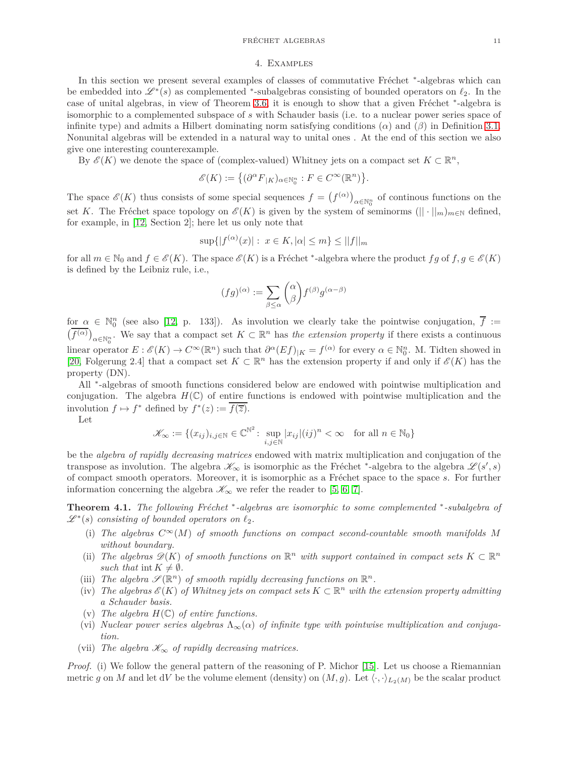### 4. Examples

In this section we present several examples of classes of commutative Fréchet \*-algebras which can be embedded into  $\mathscr{L}^*(s)$  as complemented <sup>\*</sup>-subalgebras consisting of bounded operators on  $\ell_2$ . In the case of unital algebras, in view of Theorem [3.6,](#page-4-1) it is enough to show that a given Fréchet \*-algebra is isomorphic to a complemented subspace of *s* with Schauder basis (i.e. to a nuclear power series space of infinite type) and admits a Hilbert dominating norm satisfying conditions (*α*) and (*β*) in Definition [3.1.](#page-3-2) Nonunital algebras will be extended in a natural way to unital ones . At the end of this section we also give one interesting counterexample.

By  $\mathscr{E}(K)$  we denote the space of (complex-valued) Whitney jets on a compact set  $K \subset \mathbb{R}^n$ ,

$$
\mathscr{E}(K):=\big\{(\partial^\alpha F_{|K})_{\alpha\in\mathbb{N}_0^n}:F\in C^\infty(\mathbb{R}^n)\big\}.
$$

The space  $\mathscr{E}(K)$  thus consists of some special sequences  $f = (f^{(\alpha)})_{\alpha \in \mathbb{N}_0^n}$  of continous functions on the set *K*. The Fréchet space topology on  $\mathscr{E}(K)$  is given by the system of seminorms  $(|| \cdot ||_{m})_{m \in \mathbb{N}}$  defined, for example, in [\[12,](#page-18-12) Section 2]; here let us only note that

$$
\sup\{|f^{(\alpha)}(x)|:\ x \in K, |\alpha| \le m\} \le ||f||_m
$$

for all  $m \in \mathbb{N}_0$  and  $f \in \mathscr{E}(K)$ . The space  $\mathscr{E}(K)$  is a Fréchet \*-algebra where the product  $fg$  of  $f, g \in \mathscr{E}(K)$ is defined by the Leibniz rule, i.e.,

$$
(fg)^{(\alpha)} := \sum_{\beta \leq \alpha} {\alpha \choose \beta} f^{(\beta)} g^{(\alpha - \beta)}
$$

 $f_{\text{or}} \alpha \in \mathbb{N}_0^n$  (see also [\[12,](#page-18-12) p. 133]). As involution we clearly take the pointwise conjugation,  $\overline{f}$  :=  $(\overline{f^{(\alpha)}})_{\alpha \in \mathbb{N}_0^n}$ . We say that a compact set  $K \subset \mathbb{R}^n$  has *the extension property* if there exists a continuous linear operator  $E: \mathscr{E}(K) \to C^{\infty}(\mathbb{R}^n)$  such that  $\partial^{\alpha}(Ef)_{|K} = f^{(\alpha)}$  for every  $\alpha \in \mathbb{N}_0^n$ . M. Tidten showed in [\[20,](#page-18-13) Folgerung 2.4] that a compact set  $K \subset \mathbb{R}^n$  has the extension property if and only if  $\mathscr{E}(K)$  has the property (DN).

All <sup>∗</sup> -algebras of smooth functions considered below are endowed with pointwise multiplication and conjugation. The algebra  $H(\mathbb{C})$  of entire functions is endowed with pointwise multiplication and the involution  $f \mapsto f^*$  defined by  $f^*(z) := \overline{f(\overline{z})}$ .

Let

$$
\mathcal{K}_{\infty} := \{ (x_{ij})_{i,j \in \mathbb{N}} \in \mathbb{C}^{\mathbb{N}^2} \colon \sup_{i,j \in \mathbb{N}} |x_{ij}| (ij)^n < \infty \quad \text{for all } n \in \mathbb{N}_0 \}
$$

be the *algebra of rapidly decreasing matrices* endowed with matrix multiplication and conjugation of the transpose as involution. The algebra  $\mathscr{K}_{\infty}$  is isomorphic as the Fréchet <sup>\*</sup>-algebra to the algebra  $\mathscr{L}(s', s)$ of compact smooth operators. Moreover, it is isomorphic as a Fréchet space to the space *s*. For further information concerning the algebra  $\mathscr{K}_{\infty}$  we refer the reader to [\[5,](#page-18-14) [6,](#page-18-15) [7\]](#page-18-16).

<span id="page-10-0"></span>**Theorem 4.1.** *The following Fréchet* <sup>∗</sup>-algebras are isomorphic to some complemented <sup>\*</sup>-subalgebra of  $\mathscr{L}^*(s)$  *consisting of bounded operators on*  $\ell_2$ *.* 

- (i) The algebras  $C^{\infty}(M)$  of smooth functions on compact second-countable smooth manifolds M *without boundary.*
- (ii) The algebras  $\mathscr{D}(K)$  of smooth functions on  $\mathbb{R}^n$  with support contained in compact sets  $K \subset \mathbb{R}^n$ *such that* int  $K \neq \emptyset$ *.*
- (iii) The algebra  $\mathscr{S}(\mathbb{R}^n)$  of smooth rapidly decreasing functions on  $\mathbb{R}^n$ .
- (iv) *The algebras*  $\mathscr{E}(K)$  *of Whitney jets on compact sets*  $K \subset \mathbb{R}^n$  *with the extension property admitting a Schauder basis.*
- (v) The algebra  $H(\mathbb{C})$  of entire functions.
- (vi) *Nuclear power series algebras*  $\Lambda_{\infty}(\alpha)$  *of infinite type with pointwise multiplication and conjugation.*
- (vii) The algebra  $\mathscr{K}_{\infty}$  of rapidly decreasing matrices.

*Proof.* (i) We follow the general pattern of the reasoning of P. Michor [\[15\]](#page-18-17). Let us choose a Riemannian metric g on M and let dV be the volume element (density) on  $(M, g)$ . Let  $\langle \cdot, \cdot \rangle_{L_2(M)}$  be the scalar product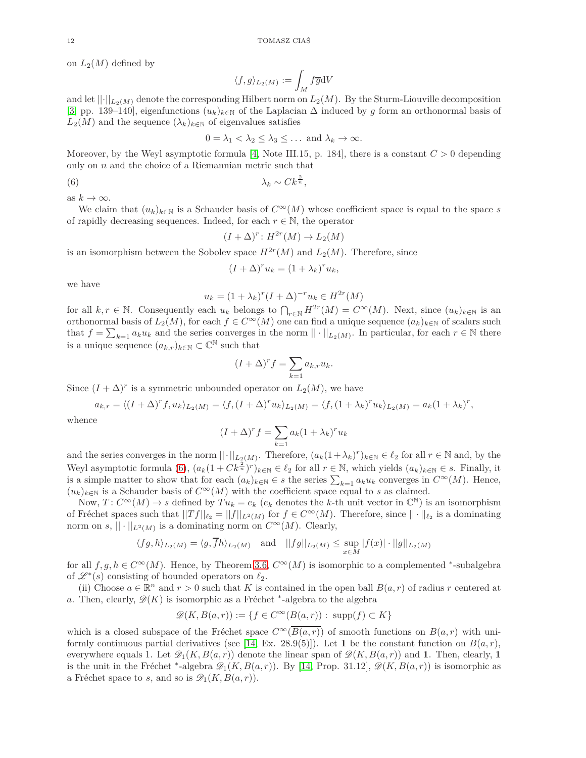on  $L_2(M)$  defined by

$$
\langle f, g \rangle_{L_2(M)} := \int_M f \overline{g} \mathrm{d} V
$$

and let  $||\cdot||_{L_2(M)}$  denote the corresponding Hilbert norm on  $L_2(M)$ . By the Sturm-Liouville decomposition [\[3,](#page-18-18) pp. 139–140], eigenfunctions  $(u_k)_{k\in\mathbb{N}}$  of the Laplacian  $\Delta$  induced by g form an orthonormal basis of  $L_2(M)$  and the sequence  $(\lambda_k)_{k\in\mathbb{N}}$  of eigenvalues satisfies

$$
0 = \lambda_1 < \lambda_2 \leq \lambda_3 \leq \ldots \text{ and } \lambda_k \to \infty.
$$

Moreover, by the Weyl asymptotic formula [\[4,](#page-18-19) Note III.15, p. 184], there is a constant  $C > 0$  depending only on *n* and the choice of a Riemannian metric such that

$$
\lambda_k \sim C k^{\frac{2}{n}},
$$

as  $k \to \infty$ .

We claim that  $(u_k)_{k\in\mathbb{N}}$  is a Schauder basis of  $C^{\infty}(M)$  whose coefficient space is equal to the space *s* of rapidly decreasing sequences. Indeed, for each  $r \in \mathbb{N}$ , the operator

<span id="page-11-0"></span>
$$
(I + \Delta)^r \colon H^{2r}(M) \to L_2(M)
$$

is an isomorphism between the Sobolev space  $H^{2r}(M)$  and  $L_2(M)$ . Therefore, since

$$
(I + \Delta)^r u_k = (1 + \lambda_k)^r u_k,
$$

we have

$$
u_k = (1 + \lambda_k)^r (I + \Delta)^{-r} u_k \in H^{2r}(M)
$$

for all  $k, r \in \mathbb{N}$ . Consequently each  $u_k$  belongs to  $\bigcap_{r \in \mathbb{N}} H^{2r}(M) = C^{\infty}(M)$ . Next, since  $(u_k)_{k \in \mathbb{N}}$  is an orthonormal basis of  $L_2(M)$ , for each  $f \in C^\infty(M)$  one can find a unique sequence  $(a_k)_{k\in\mathbb{N}}$  of scalars such that  $f = \sum_{k=1} a_k u_k$  and the series converges in the norm  $|| \cdot ||_{L_2(M)}$ . In particular, for each  $r \in \mathbb{N}$  there is a unique sequence  $(a_{k,r})_{k \in \mathbb{N}} \subset \mathbb{C}^{\mathbb{N}}$  such that

$$
(I + \Delta)^r f = \sum_{k=1} a_{k,r} u_k.
$$

Since  $(I + \Delta)^r$  is a symmetric unbounded operator on  $L_2(M)$ , we have

$$
a_{k,r} = \langle (I + \Delta)^r f, u_k \rangle_{L_2(M)} = \langle f, (I + \Delta)^r u_k \rangle_{L_2(M)} = \langle f, (1 + \lambda_k)^r u_k \rangle_{L_2(M)} = a_k (1 + \lambda_k)^r,
$$

whence

$$
(I + \Delta)^r f = \sum_{k=1} a_k (1 + \lambda_k)^r u_k
$$

and the series converges in the norm  $||\cdot||_{L_2(M)}$ . Therefore,  $(a_k(1+\lambda_k)^r)_{k\in\mathbb{N}}\in\ell_2$  for all  $r\in\mathbb{N}$  and, by the Weyl asymptotic formula [\(6\)](#page-11-0),  $(a_k(1 + Ck^{\frac{2}{n}})^r)_{k \in \mathbb{N}} \in \ell_2$  for all  $r \in \mathbb{N}$ , which yields  $(a_k)_{k \in \mathbb{N}} \in s$ . Finally, it is a simple matter to show that for each  $(a_k)_{k \in \mathbb{N}} \in s$  the series  $\sum_{k=1} a_k u_k$  converges in  $C^{\infty}(M)$ . Hence,  $(u_k)_{k \in \mathbb{N}}$  is a Schauder basis of  $C^{\infty}(M)$  with the coefficient space equal to *s* as claimed.

Now,  $T: C^{\infty}(M) \to s$  defined by  $Tu_k = e_k$  ( $e_k$  denotes the *k*-th unit vector in  $\mathbb{C}^{\mathbb{N}}$ ) is an isomorphism of Fréchet spaces such that  $||Tf||_{\ell_2} = ||f||_{L^2(M)}$  for  $f \in C^{\infty}(M)$ . Therefore, since  $|| \cdot ||_{\ell_2}$  is a dominating norm on  $s, \|\cdot\|_{L^2(M)}$  is a dominating norm on  $C^{\infty}(M)$ . Clearly,

$$
\langle fg, h \rangle_{L_2(M)} = \langle g, \overline{f}h \rangle_{L_2(M)} \quad \text{and} \quad ||fg||_{L_2(M)} \le \sup_{x \in M} |f(x)| \cdot ||g||_{L_2(M)}
$$

for all  $f, g, h \in C^{\infty}(M)$ . Hence, by Theorem [3.6,](#page-4-1)  $C^{\infty}(M)$  is isomorphic to a complemented <sup>\*</sup>-subalgebra of  $\mathscr{L}^*(s)$  consisting of bounded operators on  $\ell_2$ .

(ii) Choose  $a \in \mathbb{R}^n$  and  $r > 0$  such that *K* is contained in the open ball  $B(a, r)$  of radius *r* centered at *a*. Then, clearly,  $\mathscr{D}(K)$  is isomorphic as a Fréchet <sup>\*</sup>-algebra to the algebra

$$
\mathscr{D}(K, B(a,r)):=\{f\in C^\infty(B(a,r)):\; \mathrm{supp}(f)\subset K\}
$$

which is a closed subspace of the Fréchet space  $C^{\infty}(\overline{B(a,r)})$  of smooth functions on  $B(a,r)$  with uni-formly continuous partial derivatives (see [\[14,](#page-18-2) Ex. 28.9(5)]). Let 1 be the constant function on  $B(a, r)$ , everywhere equals 1. Let  $\mathscr{D}_1(K, B(a, r))$  denote the linear span of  $\mathscr{D}(K, B(a, r))$  and 1. Then, clearly, 1 is the unit in the Fréchet \*-algebra  $\mathscr{D}_1(K, B(a,r))$ . By [\[14,](#page-18-2) Prop. 31.12],  $\mathscr{D}(K, B(a,r))$  is isomorphic as a Fréchet space to *s*, and so is  $\mathscr{D}_1(K, B(a, r))$ .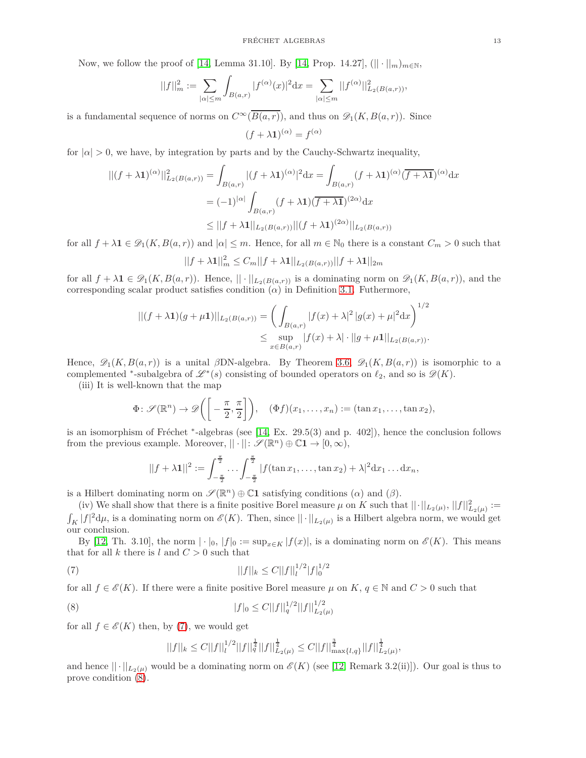Now, we follow the proof of [\[14,](#page-18-2) Lemma 31.10]. By [14, Prop. 14.27],  $(|| \cdot ||_{m})_{m \in \mathbb{N}}$ ,

$$
||f||_m^2 := \sum_{|\alpha| \le m} \int_{B(a,r)} |f^{(\alpha)}(x)|^2 dx = \sum_{|\alpha| \le m} ||f^{(\alpha)}||^2_{L_2(B(a,r))},
$$

is a fundamental sequence of norms on  $C^{\infty}(\overline{B(a,r)})$ , and thus on  $\mathscr{D}_1(K, B(a,r))$ . Since

$$
(f + \lambda \mathbf{1})^{(\alpha)} = f^{(\alpha)}
$$

for  $|a| > 0$ , we have, by integration by parts and by the Cauchy-Schwartz inequality,

$$
\begin{aligned} ||(f + \lambda \mathbf{1})^{(\alpha)}||_{L_2(B(a,r))}^2 &= \int_{B(a,r)} |(f + \lambda \mathbf{1})^{(\alpha)}|^2 \, \mathrm{d}x = \int_{B(a,r)} (f + \lambda \mathbf{1})^{(\alpha)} \, \overline{(f + \lambda \mathbf{1})}^{(\alpha)} \, \mathrm{d}x \\ &= (-1)^{|\alpha|} \int_{B(a,r)} (f + \lambda \mathbf{1}) \, \overline{(f + \lambda \mathbf{1})}^{(2\alpha)} \, \mathrm{d}x \\ &\le ||f + \lambda \mathbf{1}||_{L_2(B(a,r))} ||(f + \lambda \mathbf{1})^{(2\alpha)}||_{L_2(B(a,r))} \end{aligned}
$$

for all  $f + \lambda \mathbf{1} \in \mathcal{D}_1(K, B(a, r))$  and  $|\alpha| \leq m$ . Hence, for all  $m \in \mathbb{N}_0$  there is a constant  $C_m > 0$  such that

$$
||f + \lambda \mathbf{1}||_m^2 \le C_m ||f + \lambda \mathbf{1}||_{L_2(B(a,r))} ||f + \lambda \mathbf{1}||_{2m}
$$

for all  $f + \lambda \mathbf{1} \in \mathscr{D}_1(K, B(a, r))$ . Hence,  $|| \cdot ||_{L_2(B(a, r))}$  is a dominating norm on  $\mathscr{D}_1(K, B(a, r))$ , and the corresponding scalar product satisfies condition  $(\alpha)$  in Definition [3.1.](#page-3-2) Futhermore,

$$
||(f + \lambda \mathbf{1})(g + \mu \mathbf{1})||_{L_2(B(a,r))} = \left(\int_{B(a,r)} |f(x) + \lambda|^2 |g(x) + \mu|^2 dx\right)^{1/2}
$$
  

$$
\leq \sup_{x \in B(a,r)} |f(x) + \lambda| \cdot ||g + \mu \mathbf{1}||_{L_2(B(a,r))}.
$$

Hence,  $\mathscr{D}_1(K, B(a, r))$  is a unital *β*DN-algebra. By Theorem [3.6,](#page-4-1)  $\mathscr{D}_1(K, B(a, r))$  is isomorphic to a complemented <sup>\*</sup>-subalgebra of  $\mathscr{L}^*(s)$  consisting of bounded operators on  $\ell_2$ , and so is  $\mathscr{D}(K)$ .

(iii) It is well-known that the map

$$
\Phi\colon\mathscr{S}(\mathbb{R}^n)\to\mathscr{D}\bigg(\bigg[-\frac{\pi}{2},\frac{\pi}{2}\bigg]\bigg),\quad (\Phi f)(x_1,\ldots,x_n):=(\tan x_1,\ldots,\tan x_2),
$$

is an isomorphism of Fréchet <sup>∗</sup>-algebras (see [\[14,](#page-18-2) Ex. 29.5(3) and p. 402]), hence the conclusion follows from the previous example. Moreover,  $|| \cdot ||: \mathscr{S}(\mathbb{R}^n) \oplus \mathbb{C}1 \to [0, \infty)$ ,

$$
||f + \lambda \mathbf{1}||^2 := \int_{-\frac{\pi}{2}}^{\frac{\pi}{2}} \cdots \int_{-\frac{\pi}{2}}^{\frac{\pi}{2}} |f(\tan x_1, \dots, \tan x_2) + \lambda|^2 \mathrm{d}x_1 \dots \mathrm{d}x_n,
$$

is a Hilbert dominating norm on  $\mathscr{S}(\mathbb{R}^n) \oplus \mathbb{C}1$  satisfying conditions  $(\alpha)$  and  $(\beta)$ .

(iv) We shall show that there is a finite positive Borel measure  $\mu$  on K such that  $|| \cdot ||_{L_2(\mu)}, ||f||^2_{L_2(\mu)} :=$  $\int_K |f|^2 d\mu$ , is a dominating norm on  $\mathscr{E}(K)$ . Then, since  $||\cdot||_{L_2(\mu)}$  is a Hilbert algebra norm, we would get our conclusion.

By [\[12,](#page-18-12) Th. 3.10], the norm  $|\cdot|_0$ ,  $|f|_0 := \sup_{x \in K} |f(x)|$ , is a dominating norm on  $\mathscr{E}(K)$ . This means that for all  $k$  there is  $l$  and  $C > 0$  such that

(7) 
$$
||f||_{k} \leq C||f||_{l}^{1/2}|f|_{0}^{1/2}
$$

for all  $f \in \mathscr{E}(K)$ . If there were a finite positive Borel measure  $\mu$  on  $K, q \in \mathbb{N}$  and  $C > 0$  such that

(8) 
$$
|f|_0 \leq C ||f||_q^{1/2} ||f||_{L_2(\mu)}^{1/2}
$$

for all  $f \in \mathscr{E}(K)$  then, by [\(7\)](#page-12-0), we would get

<span id="page-12-1"></span><span id="page-12-0"></span>
$$
||f||_{k} \leq C||f||_{l}^{1/2}||f||_{q}^{\frac{1}{4}}||f||_{L_{2}(\mu)}^{\frac{1}{4}} \leq C||f||_{\max\{l,q\}}^{\frac{3}{4}}||f||_{L_{2}(\mu)}^{\frac{1}{4}},
$$

and hence  $|| \cdot ||_{L_2(\mu)}$  would be a dominating norm on  $\mathscr{E}(K)$  (see [\[12,](#page-18-12) Remark 3.2(ii)]). Our goal is thus to prove condition [\(8\)](#page-12-1).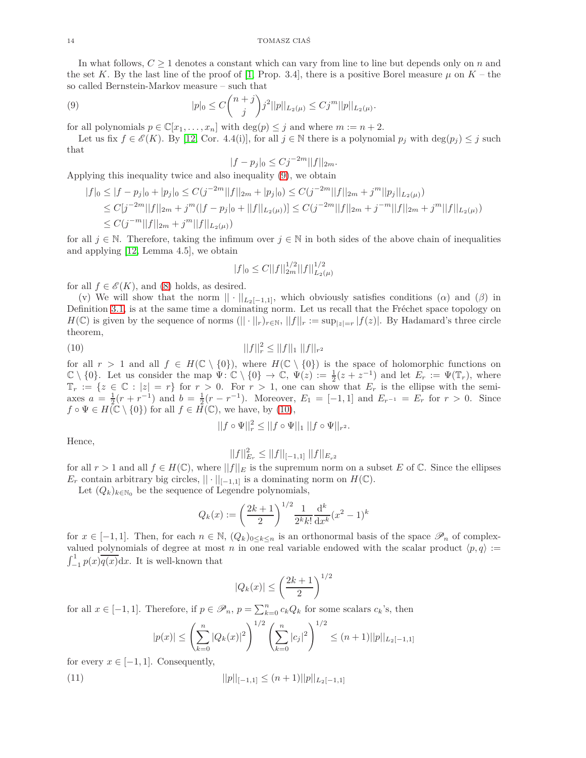In what follows,  $C \geq 1$  denotes a constant which can vary from line to line but depends only on *n* and the set *K*. By the last line of the proof of [\[1,](#page-18-20) Prop. 3.4], there is a positive Borel measure  $\mu$  on  $K$  – the so called Bernstein-Markov measure – such that

(9) 
$$
|p|_0 \leq C \binom{n+j}{j} j^2 ||p||_{L_2(\mu)} \leq C j^m ||p||_{L_2(\mu)}.
$$

for all polynomials  $p \in \mathbb{C}[x_1, \ldots, x_n]$  with  $\deg(p) \leq j$  and where  $m := n + 2$ .

Let us fix  $f \in \mathscr{E}(K)$ . By [\[12,](#page-18-12) Cor. 4.4(i)], for all  $j \in \mathbb{N}$  there is a polynomial  $p_j$  with  $\deg(p_j) \leq j$  such that

<span id="page-13-0"></span>
$$
|f - p_j|_0 \le C j^{-2m} ||f||_{2m}.
$$

Applying this inequality twice and also inequality [\(9\)](#page-13-0), we obtain

$$
|f|_{0} \leq |f - p_{j}|_{0} + |p_{j}|_{0} \leq C(j^{-2m}||f||_{2m} + |p_{j}|_{0}) \leq C(j^{-2m}||f||_{2m} + j^{m}||p_{j}||_{L_{2}(\mu)})
$$
  
\n
$$
\leq C[j^{-2m}||f||_{2m} + j^{m}(|f - p_{j}|_{0} + ||f||_{L_{2}(\mu)})] \leq C(j^{-2m}||f||_{2m} + j^{-m}||f||_{2m} + j^{m}||f||_{L_{2}(\mu)})
$$
  
\n
$$
\leq C(j^{-m}||f||_{2m} + j^{m}||f||_{L_{2}(\mu)})
$$

for all  $j \in \mathbb{N}$ . Therefore, taking the infimum over  $j \in \mathbb{N}$  in both sides of the above chain of inequalities and applying [\[12,](#page-18-12) Lemma 4.5], we obtain

<span id="page-13-1"></span>
$$
|f|_0 \le C ||f||_{2m}^{1/2} ||f||_{L_2(\mu)}^{1/2}
$$

for all  $f \in \mathcal{E}(K)$ , and [\(8\)](#page-12-1) holds, as desired.

(v) We will show that the norm  $|| \cdot ||_{L_2[-1,1]},$  which obviously satisfies conditions ( $\alpha$ ) and ( $\beta$ ) in Definition [3.1,](#page-3-2) is at the same time a dominating norm. Let us recall that the Fréchet space topology on *H*(ℂ) is given by the sequence of norms (|| · ||*r*)*r*∈N,  $||f||_r := \sup_{|z|=r} |f(z)|$ . By Hadamard's three circle theorem,

(10) 
$$
||f||_r^2 \le ||f||_1 ||f||_{r^2}
$$

for all  $r > 1$  and all  $f \in H(\mathbb{C} \setminus \{0\})$ , where  $H(\mathbb{C} \setminus \{0\})$  is the space of holomorphic functions on  $\mathbb{C} \setminus \{0\}$ . Let us consider the map  $\Psi: \mathbb{C} \setminus \{0\} \to \mathbb{C}, \ \Psi(z) := \frac{1}{2}(z + z^{-1})$  and let  $E_r := \Psi(\mathbb{T}_r)$ , where  $\mathbb{T}_r := \{z \in \mathbb{C} : |z| = r\}$  for  $r > 0$ . For  $r > 1$ , one can show that  $E_r$  is the ellipse with the semiaxes  $a = \frac{1}{2}(r + r^{-1})$  and  $b = \frac{1}{2}(r - r^{-1})$ . Moreover,  $E_1 = [-1, 1]$  and  $E_{r-1} = E_r$  for  $r > 0$ . Since  $f \circ \Psi \in H(\mathbb{C} \setminus \{0\})$  for all  $f \in H(\mathbb{C})$ , we have, by [\(10\)](#page-13-1),

$$
||f \circ \Psi||_r^2 \le ||f \circ \Psi||_1 ||f \circ \Psi||_{r^2}.
$$

Hence,

$$
||f||_{E_r}^2 \le ||f||_{[-1,1]} ||f||_{E_{r^2}}
$$

for all  $r > 1$  and all  $f \in H(\mathbb{C})$ , where  $||f||_E$  is the supremum norm on a subset E of  $\mathbb{C}$ . Since the ellipses *E*<sup>*r*</sup> contain arbitrary big circles,  $|| \cdot ||_{[-1,1]}$  is a dominating norm on  $H(\mathbb{C})$ .

Let  $(Q_k)_{k \in \mathbb{N}_0}$  be the sequence of Legendre polynomials,

$$
Q_k(x) := \left(\frac{2k+1}{2}\right)^{1/2} \frac{1}{2^k k!} \frac{d^k}{dx^k} (x^2 - 1)^k
$$

for  $x \in [-1, 1]$ . Then, for each  $n \in \mathbb{N}$ ,  $(Q_k)_{0 \leq k \leq n}$  is an orthonormal basis of the space  $\mathscr{P}_n$  of complexvalued polynomials of degree at most *n* in one real variable endowed with the scalar product  $\langle p, q \rangle :=$  $\int_{-1}^{1} p(x)q(x)dx$ . It is well-known that

$$
|Q_k(x)| \le \left(\frac{2k+1}{2}\right)^{1/2}
$$

for all  $x \in [-1, 1]$ . Therefore, if  $p \in \mathcal{P}_n$ ,  $p = \sum_{k=0}^n c_k Q_k$  for some scalars  $c_k$ 's, then

<span id="page-13-2"></span>
$$
|p(x)| \le \left(\sum_{k=0}^n |Q_k(x)|^2\right)^{1/2} \left(\sum_{k=0}^n |c_j|^2\right)^{1/2} \le (n+1) ||p||_{L_2[-1,1]}
$$

for every  $x \in [-1, 1]$ . Consequently,

(11) 
$$
||p||_{[-1,1]} \le (n+1)||p||_{L_2[-1,1]}
$$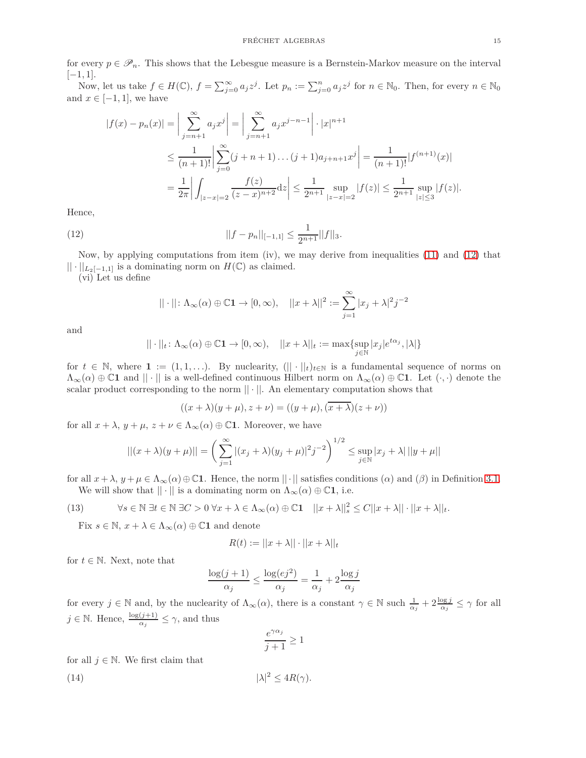for every  $p \in \mathscr{P}_n$ . This shows that the Lebesgue measure is a Bernstein-Markov measure on the interval [−1*,* 1].

Now, let us take  $f \in H(\mathbb{C})$ ,  $f = \sum_{j=0}^{\infty} a_j z^j$ . Let  $p_n := \sum_{j=0}^n a_j z^j$  for  $n \in \mathbb{N}_0$ . Then, for every  $n \in \mathbb{N}_0$ and  $x \in [-1, 1]$ , we have

$$
|f(x) - p_n(x)| = \left| \sum_{j=n+1}^{\infty} a_j x^j \right| = \left| \sum_{j=n+1}^{\infty} a_j x^{j-n-1} \right| \cdot |x|^{n+1}
$$
  

$$
\leq \frac{1}{(n+1)!} \left| \sum_{j=0}^{\infty} (j+n+1) \dots (j+1) a_{j+n+1} x^j \right| = \frac{1}{(n+1)!} |f^{(n+1)}(x)|
$$
  

$$
= \frac{1}{2\pi} \left| \int_{|z-x|=2} \frac{f(z)}{(z-x)^{n+2}} dz \right| \leq \frac{1}{2^{n+1}} \sup_{|z-x|=2} |f(z)| \leq \frac{1}{2^{n+1}} \sup_{|z| \leq 3} |f(z)|.
$$

Hence,

(12) 
$$
||f - p_n||_{[-1,1]} \leq \frac{1}{2^{n+1}}||f||_3.
$$

Now, by applying computations from item (iv), we may derive from inequalities [\(11\)](#page-13-2) and [\(12\)](#page-14-0) that  $|| \cdot ||_{L_2[-1,1]}$  is a dominating norm on  $H(\mathbb{C})$  as claimed.

(vi) Let us define

<span id="page-14-0"></span>
$$
|| \cdot || \colon \Lambda_{\infty}(\alpha) \oplus \mathbb{C}1 \to [0, \infty), \quad ||x + \lambda||^2 := \sum_{j=1}^{\infty} |x_j + \lambda|^2 j^{-2}
$$

and

$$
|| \cdot ||_t \colon \Lambda_\infty(\alpha) \oplus \mathbb{C}1 \to [0, \infty), \quad ||x + \lambda||_t := \max \{ \sup_{j \in \mathbb{N}} |x_j| e^{t \alpha_j}, |\lambda| \}
$$

for  $t \in \mathbb{N}$ , where  $\mathbf{1} := (1, 1, \ldots)$ . By nuclearity,  $(|| \cdot ||_t)_{t \in \mathbb{N}}$  is a fundamental sequence of norms on  $\Lambda_{\infty}(\alpha) \oplus \mathbb{C}1$  and  $||\cdot||$  is a well-defined continuous Hilbert norm on  $\Lambda_{\infty}(\alpha) \oplus \mathbb{C}1$ . Let  $(\cdot, \cdot)$  denote the scalar product corresponding to the norm  $|| \cdot ||$ . An elementary computation shows that

$$
((x + \lambda)(y + \mu), z + \nu) = ((y + \mu), (\overline{x + \lambda})(z + \nu))
$$

for all  $x + \lambda$ ,  $y + \mu$ ,  $z + \nu \in \Lambda_{\infty}(\alpha) \oplus \mathbb{C}1$ . Moreover, we have

$$
||(x+\lambda)(y+\mu)|| = \left(\sum_{j=1}^{\infty} |(x_j+\lambda)(y_j+\mu)|^2 j^{-2}\right)^{1/2} \le \sup_{j\in\mathbb{N}} |x_j+\lambda| ||y+\mu||
$$

for all  $x + \lambda$ ,  $y + \mu \in \Lambda_{\infty}(\alpha) \oplus \mathbb{C}1$ . Hence, the norm  $||\cdot||$  satisfies conditions  $(\alpha)$  and  $(\beta)$  in Definition [3.1.](#page-3-2) We will show that  $|| \cdot ||$  is a dominating norm on  $\Lambda_{\infty}(\alpha) \oplus \mathbb{C}1$ , i.e.

(13) 
$$
\forall s \in \mathbb{N} \ \exists t \in \mathbb{N} \ \exists C > 0 \ \forall x + \lambda \in \Lambda_{\infty}(\alpha) \oplus \mathbb{C} \mathbf{1} \quad ||x + \lambda||_{s}^{2} \leq C||x + \lambda|| \cdot ||x + \lambda||_{t}.
$$

<span id="page-14-2"></span>Fix  $s \in \mathbb{N}, x + \lambda \in \Lambda_\infty(\alpha) \oplus \mathbb{C}1$  and denote

$$
R(t) := ||x + \lambda|| \cdot ||x + \lambda||_t
$$

for  $t \in \mathbb{N}$ . Next, note that

$$
\frac{\log(j+1)}{\alpha_j} \le \frac{\log(ej^2)}{\alpha_j} = \frac{1}{\alpha_j} + 2\frac{\log j}{\alpha_j}
$$

for every  $j \in \mathbb{N}$  and, by the nuclearity of  $\Lambda_{\infty}(\alpha)$ , there is a constant  $\gamma \in \mathbb{N}$  such  $\frac{1}{\alpha_j} + 2\frac{\log j}{\alpha_j} \leq \gamma$  for all  $j \in \mathbb{N}$ . Hence,  $\frac{\log(j+1)}{\alpha_j} \leq \gamma$ , and thus

<span id="page-14-1"></span>
$$
\frac{e^{\gamma \alpha_j}}{j+1} \ge 1
$$

for all  $j \in \mathbb{N}$ . We first claim that

(14) 
$$
|\lambda|^2 \le 4R(\gamma).
$$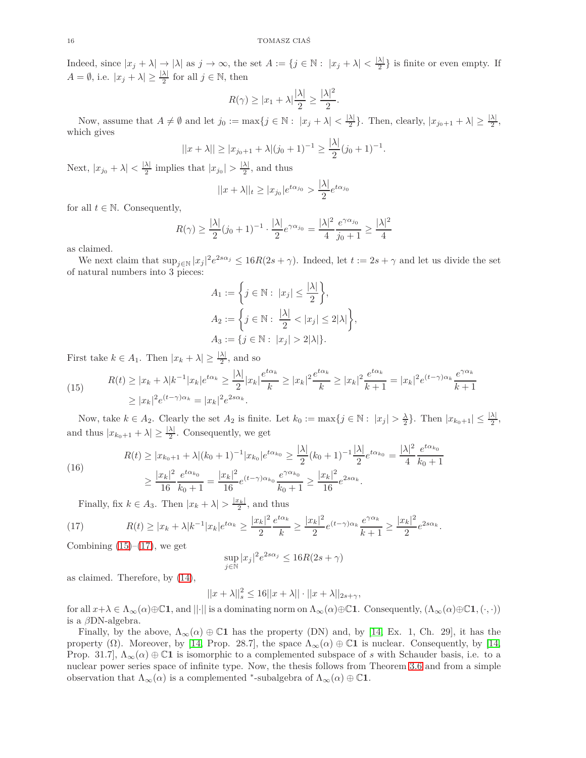Indeed, since  $|x_j + \lambda| \to |\lambda|$  as  $j \to \infty$ , the set  $A := \{j \in \mathbb{N} : |x_j + \lambda| < \frac{|\lambda|}{2}\}$  $\frac{\lambda_1}{2}$  is finite or even empty. If  $A = \emptyset$ , i.e.  $|x_j + \lambda| \geq \frac{|\lambda|}{2}$  for all  $j \in \mathbb{N}$ , then

$$
R(\gamma) \ge |x_1 + \lambda| \frac{|\lambda|}{2} \ge \frac{|\lambda|^2}{2}.
$$

Now, assume that  $A \neq \emptyset$  and let  $j_0 := \max\{j \in \mathbb{N} : |x_j + \lambda| < \frac{|\lambda|}{2}\}$  $\frac{\lambda}{2}$ . Then, clearly,  $|x_{j_0+1} + \lambda| \geq \frac{|\lambda|}{2}$ , which gives

$$
||x + \lambda|| \ge |x_{j_0+1} + \lambda|(j_0+1)^{-1} \ge \frac{|\lambda|}{2}(j_0+1)^{-1}.
$$

Next,  $|x_{j_0} + \lambda| < \frac{|\lambda|}{2}$  $\frac{\lambda}{2}$  implies that  $|x_{j_0}| > \frac{|\lambda|}{2}$  $\frac{\lambda_1}{2}$ , and thus

$$
||x + \lambda||_t \ge |x_{j_0}| e^{t\alpha_{j_0}} > \frac{|\lambda|}{2} e^{t\alpha_{j_0}}
$$

for all  $t \in \mathbb{N}$ . Consequently,

$$
R(\gamma) \ge \frac{|\lambda|}{2} (j_0 + 1)^{-1} \cdot \frac{|\lambda|}{2} e^{\gamma \alpha_{j_0}} = \frac{|\lambda|^2}{4} \frac{e^{\gamma \alpha_{j_0}}}{j_0 + 1} \ge \frac{|\lambda|^2}{4}
$$

as claimed.

We next claim that  $\sup_{j\in\mathbb{N}} |x_j|^2 e^{2s\alpha_j} \leq 16R(2s+\gamma)$ . Indeed, let  $t := 2s + \gamma$  and let us divide the set of natural numbers into 3 pieces:

$$
A_1 := \left\{ j \in \mathbb{N} : \ |x_j| \le \frac{|\lambda|}{2} \right\},\,
$$
  

$$
A_2 := \left\{ j \in \mathbb{N} : \ \frac{|\lambda|}{2} < |x_j| \le 2|\lambda| \right\},\,
$$
  

$$
A_3 := \{ j \in \mathbb{N} : \ |x_j| > 2|\lambda| \}.
$$

First take  $k \in A_1$ . Then  $|x_k + \lambda| \geq \frac{|\lambda|}{2}$ , and so

<span id="page-15-0"></span>(15) 
$$
R(t) \ge |x_k + \lambda|k^{-1}|x_k|e^{t\alpha_k} \ge \frac{|\lambda|}{2}|x_k|\frac{e^{t\alpha_k}}{k} \ge |x_k|^2 \frac{e^{t\alpha_k}}{k} \ge |x_k|^2 \frac{e^{t\alpha_k}}{k+1} = |x_k|^2 e^{(t-\gamma)\alpha_k} \frac{e^{\gamma\alpha_k}}{k+1}
$$

$$
\ge |x_k|^2 e^{(t-\gamma)\alpha_k} = |x_k|^2 e^{2s\alpha_k}.
$$

Now, take  $k \in A_2$ . Clearly the set  $A_2$  is finite. Let  $k_0 := \max\{j \in \mathbb{N} : |x_j| > \frac{\lambda}{2}\}$ . Then  $|x_{k_0+1}| \leq \frac{|\lambda|}{2}$ , and thus  $|x_{k_0+1} + \lambda| \geq \frac{|\lambda|}{2}$ . Consequently, we get

(16) 
$$
R(t) \ge |x_{k_0+1} + \lambda|(k_0+1)^{-1}|x_{k_0}|e^{t\alpha_{k_0}} \ge \frac{|\lambda|}{2}(k_0+1)^{-1}\frac{|\lambda|}{2}e^{t\alpha_{k_0}} = \frac{|\lambda|^2}{4}\frac{e^{t\alpha_{k_0}}}{k_0+1}
$$

$$
\ge \frac{|x_k|^2}{16}\frac{e^{t\alpha_{k_0}}}{k_0+1} = \frac{|x_k|^2}{16}e^{(t-\gamma)\alpha_{k_0}}\frac{e^{\gamma\alpha_{k_0}}}{k_0+1} \ge \frac{|x_k|^2}{16}e^{2s\alpha_k}.
$$

<span id="page-15-1"></span>Finally, fix  $k \in A_3$ . Then  $|x_k + \lambda| > \frac{|x_k|}{2}$ , and thus

(17) 
$$
R(t) \ge |x_k + \lambda|k^{-1}|x_k|e^{t\alpha_k} \ge \frac{|x_k|^2}{2}\frac{e^{t\alpha_k}}{k} \ge \frac{|x_k|^2}{2}e^{(t-\gamma)\alpha_k}\frac{e^{\gamma\alpha_k}}{k+1} \ge \frac{|x_k|^2}{2}e^{2s\alpha_k}.
$$

Combining  $(15)$ – $(17)$ , we get

$$
\sup_{j \in \mathbb{N}} |x_j|^2 e^{2s\alpha_j} \le 16R(2s + \gamma)
$$

as claimed. Therefore, by [\(14\)](#page-14-1),

$$
||x + \lambda||_s^2 \le 16||x + \lambda|| \cdot ||x + \lambda||_{2s + \gamma},
$$

for all  $x + \lambda \in \Lambda_\infty(\alpha) \oplus \mathbb{C}1$ , and  $||\cdot||$  is a dominating norm on  $\Lambda_\infty(\alpha) \oplus \mathbb{C}1$ . Consequently,  $(\Lambda_\infty(\alpha) \oplus \mathbb{C}1, (\cdot, \cdot))$ is a *β*DN-algebra.

Finally, by the above,  $\Lambda_{\infty}(\alpha) \oplus \mathbb{C}1$  has the property (DN) and, by [\[14,](#page-18-2) Ex. 1, Ch. 29], it has the property ( $\Omega$ ). Moreover, by [\[14,](#page-18-2) Prop. 28.7], the space  $\Lambda_{\infty}(\alpha) \oplus \mathbb{C}1$  is nuclear. Consequently, by [14, Prop. 31.7],  $\Lambda_{\infty}(\alpha) \oplus \mathbb{C}1$  is isomorphic to a complemented subspace of *s* with Schauder basis, i.e. to a nuclear power series space of infinite type. Now, the thesis follows from Theorem [3.6](#page-4-1) and from a simple observation that  $\Lambda_{\infty}(\alpha)$  is a complemented <sup>\*</sup>-subalgebra of  $\Lambda_{\infty}(\alpha) \oplus \mathbb{C}1$ .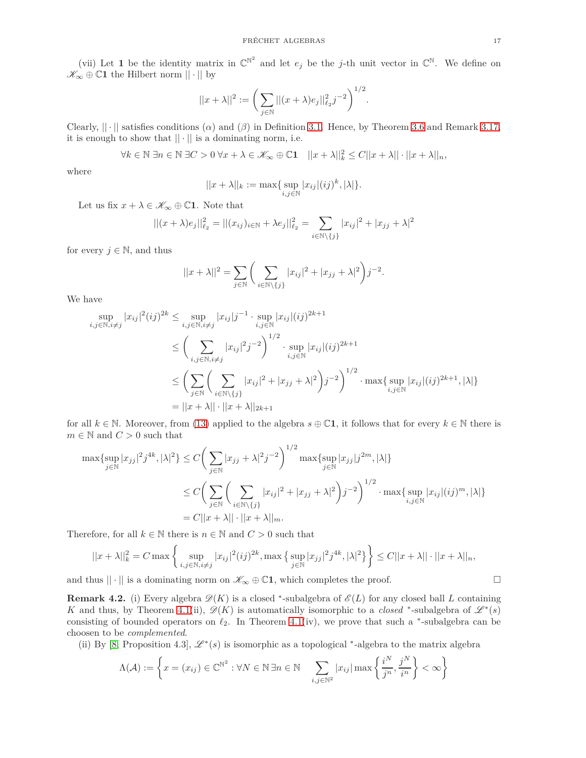(vii) Let 1 be the identity matrix in  $\mathbb{C}^{\mathbb{N}^2}$  and let  $e_j$  be the *j*-th unit vector in  $\mathbb{C}^{\mathbb{N}}$ . We define on  $\mathscr{K}_{\infty} \oplus \mathbb{C}1$  the Hilbert norm  $|| \cdot ||$  by

$$
||x + \lambda||^2 := \bigg(\sum_{j \in \mathbb{N}} ||(x + \lambda)e_j||_{\ell_2}^2 j^{-2}\bigg)^{1/2}.
$$

Clearly,  $|| \cdot ||$  satisfies conditions ( $\alpha$ ) and ( $\beta$ ) in Definition [3.1.](#page-3-2) Hence, by Theorem [3.6](#page-4-1) and Remark [3.17,](#page-9-0) it is enough to show that  $|| \cdot ||$  is a dominating norm, i.e.

$$
\forall k \in \mathbb{N} \,\exists n \in \mathbb{N} \,\exists C > 0 \,\forall x + \lambda \in \mathscr{K}_{\infty} \oplus \mathbb{C} \mathbf{1} \quad ||x + \lambda||^2_k \le C||x + \lambda|| \cdot ||x + \lambda||_n,
$$

where

$$
||x + \lambda||_k := \max\{\sup_{i,j \in \mathbb{N}} |x_{ij}| (ij)^k, |\lambda|\}.
$$

Let us fix  $x + \lambda \in \mathscr{K}_{\infty} \oplus \mathbb{C}1$ . Note that

$$
||(x+\lambda)e_j||_{\ell_2}^2 = ||(x_{ij})_{i \in \mathbb{N}} + \lambda e_j||_{\ell_2}^2 = \sum_{i \in \mathbb{N}\backslash\{j\}} |x_{ij}|^2 + |x_{jj} + \lambda|^2
$$

for every  $j \in \mathbb{N}$ , and thus

$$
||x + \lambda||^2 = \sum_{j \in \mathbb{N}} \left( \sum_{i \in \mathbb{N} \setminus \{j\}} |x_{ij}|^2 + |x_{jj} + \lambda|^2 \right) j^{-2}.
$$

We have

$$
\sup_{i,j \in \mathbb{N}, i \neq j} |x_{ij}|^2 (ij)^{2k} \leq \sup_{i,j \in \mathbb{N}, i \neq j} |x_{ij}|j^{-1} \cdot \sup_{i,j \in \mathbb{N}} |x_{ij}| (ij)^{2k+1}
$$
\n
$$
\leq \left(\sum_{i,j \in \mathbb{N}, i \neq j} |x_{ij}|^2 j^{-2}\right)^{1/2} \cdot \sup_{i,j \in \mathbb{N}} |x_{ij}| (ij)^{2k+1}
$$
\n
$$
\leq \left(\sum_{j \in \mathbb{N}} \left(\sum_{i \in \mathbb{N} \setminus \{j\}} |x_{ij}|^2 + |x_{jj} + \lambda|^2\right) j^{-2}\right)^{1/2} \cdot \max\{\sup_{i,j \in \mathbb{N}} |x_{ij}| (ij)^{2k+1}, |\lambda|\}
$$
\n
$$
= ||x + \lambda|| \cdot ||x + \lambda||_{2k+1}
$$

for all  $k \in \mathbb{N}$ . Moreover, from [\(13\)](#page-14-2) applied to the algebra  $s \oplus \mathbb{C}1$ , it follows that for every  $k \in \mathbb{N}$  there is  $m \in \mathbb{N}$  and  $C > 0$  such that

$$
\max \{ \sup_{j \in \mathbb{N}} |x_{jj}|^2 j^{4k}, |\lambda|^2 \} \le C \bigg( \sum_{j \in \mathbb{N}} |x_{jj} + \lambda|^2 j^{-2} \bigg)^{1/2} \max \{ \sup_{j \in \mathbb{N}} |x_{jj}| j^{2m}, |\lambda| \}
$$
  

$$
\le C \bigg( \sum_{j \in \mathbb{N}} \bigg( \sum_{i \in \mathbb{N} \setminus \{j\}} |x_{ij}|^2 + |x_{jj} + \lambda|^2 \bigg) j^{-2} \bigg)^{1/2} \cdot \max \{ \sup_{i,j \in \mathbb{N}} |x_{ij}| (ij)^m, |\lambda| \}
$$
  

$$
= C ||x + \lambda|| \cdot ||x + \lambda||_m.
$$

Therefore, for all  $k \in \mathbb{N}$  there is  $n \in \mathbb{N}$  and  $C > 0$  such that

$$
||x + \lambda||_k^2 = C \max \left\{ \sup_{i,j \in \mathbb{N}, i \neq j} |x_{ij}|^2 (ij)^{2k}, \max \left\{ \sup_{j \in \mathbb{N}} |x_{jj}|^2 j^{4k}, |\lambda|^2 \right\} \right\} \leq C ||x + \lambda|| \cdot ||x + \lambda||_n,
$$

and thus  $|| \cdot ||$  is a dominating norm on  $\mathscr{K}_{\infty} \oplus \mathbb{C}1$ , which completes the proof.

**Remark 4.2.** (i) Every algebra  $\mathscr{D}(K)$  is a closed <sup>\*</sup>-subalgebra of  $\mathscr{E}(L)$  for any closed ball *L* containing *K* and thus, by Theorem [4.1\(](#page-10-0)ii),  $\mathscr{D}(K)$  is automatically isomorphic to a *closed* \*-subalgebra of  $\mathscr{L}^*(s)$ consisting of bounded operators on  $\ell_2$ . In Theorem [4.1\(](#page-10-0)iv), we prove that such a <sup>\*</sup>-subalgebra can be choosen to be *complemented*.

(ii) By [\[8,](#page-18-1) Proposition 4.3],  $\mathscr{L}^*(s)$  is isomorphic as a topological \*-algebra to the matrix algebra

$$
\Lambda(\mathcal{A}) := \left\{ x = (x_{ij}) \in \mathbb{C}^{\mathbb{N}^2} : \forall N \in \mathbb{N} \exists n \in \mathbb{N} \quad \sum_{i,j \in \mathbb{N}^2} |x_{ij}| \max \left\{ \frac{i^N}{j^n}, \frac{j^N}{i^n} \right\} < \infty \right\}
$$

$$
\qquad \qquad \Box
$$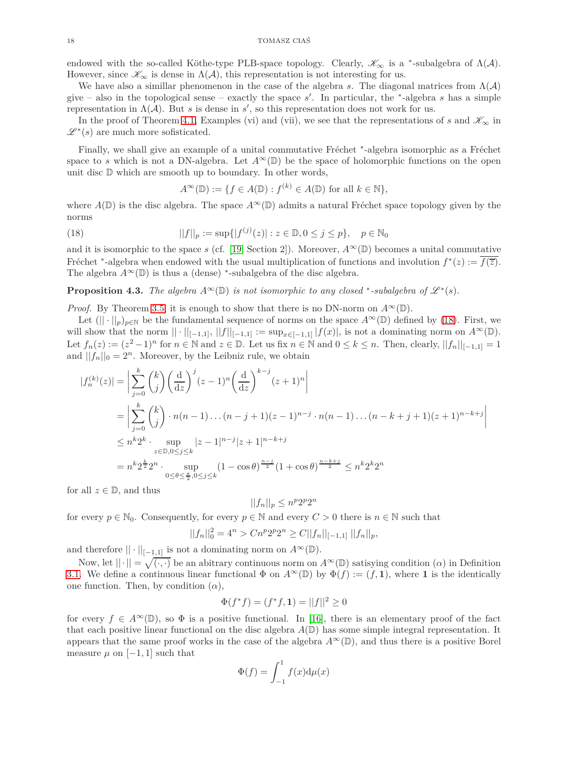endowed with the so-called Köthe-type PLB-space topology. Clearly,  $\mathscr{K}_{\infty}$  is a <sup>\*</sup>-subalgebra of  $\Lambda(\mathcal{A})$ . However, since  $\mathscr{K}_{\infty}$  is dense in  $\Lambda(\mathcal{A})$ , this representation is not interesting for us.

We have also a simillar phenomenon in the case of the algebra *s*. The diagonal matrices from  $\Lambda(\mathcal{A})$ give – also in the topological sense – exactly the space *s* ′ . In particular, the <sup>∗</sup> -algebra *s* has a simple representation in  $\Lambda(\mathcal{A})$ . But *s* is dense in *s'*, so this representation does not work for us.

In the proof of Theorem [4.1,](#page-10-0) Examples (vi) and (vii), we see that the representations of *s* and  $\mathscr{K}_{\infty}$  in  $\mathscr{L}^*(s)$  are much more sofisticated.

Finally, we shall give an example of a unital commutative Fréchet \*-algebra isomorphic as a Fréchet space to *s* which is not a DN-algebra. Let  $A^{\infty}(\mathbb{D})$  be the space of holomorphic functions on the open unit disc D which are smooth up to boundary. In other words,

<span id="page-17-0"></span>
$$
A^{\infty}(\mathbb{D}) := \{ f \in A(\mathbb{D}) : f^{(k)} \in A(\mathbb{D}) \text{ for all } k \in \mathbb{N} \},
$$

where  $A(\mathbb{D})$  is the disc algebra. The space  $A^{\infty}(\mathbb{D})$  admits a natural Fréchet space topology given by the norms

(18) 
$$
||f||_p := \sup\{|f^{(j)}(z)| : z \in \mathbb{D}, 0 \le j \le p\}, \quad p \in \mathbb{N}_0
$$

and it is isomorphic to the space *s* (cf. [\[19,](#page-18-21) Section 2]). Moreover,  $A^{\infty}(\mathbb{D})$  becomes a unital commutative Fréchet <sup>∗</sup>-algebra when endowed with the usual multiplication of functions and involution  $f^*(z) := \overline{f(\overline{z})}$ . The algebra  $A^{\infty}(\mathbb{D})$  is thus a (dense) \*-subalgebra of the disc algebra.

**Proposition 4.3.** *The algebra*  $A^{\infty}(\mathbb{D})$  *is not isomorphic to any closed* \*-subalgebra of  $\mathcal{L}^*(s)$ *.* 

*Proof.* By Theorem [3.5,](#page-4-0) it is enough to show that there is no DN-norm on  $A^{\infty}(\mathbb{D})$ .

Let  $(|| \cdot ||_p)_{p \in \mathbb{N}}$  be the fundamental sequence of norms on the space  $A^{\infty}(\mathbb{D})$  defined by [\(18\)](#page-17-0). First, we will show that the norm  $|| \cdot ||_{[-1,1]}, ||f||_{[-1,1]} := \sup_{x \in [-1,1]} |f(x)|$ , is not a dominating norm on  $A^{\infty}(\mathbb{D})$ . Let  $f_n(z) := (z^2 - 1)^n$  for  $n \in \mathbb{N}$  and  $z \in \mathbb{D}$ . Let us fix  $n \in \mathbb{N}$  and  $0 \le k \le n$ . Then, clearly,  $||f_n||_{[-1,1]} = 1$ and  $||f_n||_0 = 2^n$ . Moreover, by the Leibniz rule, we obtain

$$
|f_n^{(k)}(z)| = \left| \sum_{j=0}^k {k \choose j} \left(\frac{d}{dz}\right)^j (z-1)^n \left(\frac{d}{dz}\right)^{k-j} (z+1)^n \right|
$$
  
\n
$$
= \left| \sum_{j=0}^k {k \choose j} \cdot n(n-1) \dots (n-j+1)(z-1)^{n-j} \cdot n(n-1) \dots (n-k+j+1)(z+1)^{n-k+j} \right|
$$
  
\n
$$
\leq n^k 2^k \cdot \sup_{z \in \mathbb{D}, 0 \leq j \leq k} |z-1|^{n-j} |z+1|^{n-k+j}
$$
  
\n
$$
= n^k 2^{\frac{k}{2}} 2^n \cdot \sup_{0 \leq \theta \leq \frac{\pi}{2}, 0 \leq j \leq k} (1 - \cos \theta)^{\frac{n-j}{2}} (1 + \cos \theta)^{\frac{n-k+j}{2}} \leq n^k 2^k 2^n
$$

for all  $z \in \mathbb{D}$ , and thus

$$
||f_n||_p \le n^p 2^p 2^n
$$

for every  $p \in \mathbb{N}_0$ . Consequently, for every  $p \in \mathbb{N}$  and every  $C > 0$  there is  $n \in \mathbb{N}$  such that

$$
||f_n||_0^2 = 4^n > Cn^p 2^p 2^n \ge C||f_n||_{[-1,1]} ||f_n||_p,
$$

and therefore  $|| \cdot ||_{[-1,1]}$  is not a dominating norm on  $A^{\infty}(\mathbb{D})$ .

Now, let  $||\cdot|| = \sqrt{(\cdot,\cdot)}$  be an abitrary continuous norm on  $A^{\infty}(\mathbb{D})$  satisying condition  $(\alpha)$  in Definition [3.1.](#page-3-2) We define a continuous linear functional  $\Phi$  on  $A^{\infty}(\mathbb{D})$  by  $\Phi(f) := (f, 1)$ , where 1 is the identically one function. Then, by condition  $(\alpha)$ ,

$$
\Phi(f^*f) = (f^*f, \mathbf{1}) = ||f||^2 \ge 0
$$

for every  $f \in A^{\infty}(\mathbb{D})$ , so  $\Phi$  is a positive functional. In [\[16\]](#page-18-22), there is an elementary proof of the fact that each positive linear functional on the disc algebra  $A(\mathbb{D})$  has some simple integral representation. It appears that the same proof works in the case of the algebra  $A^{\infty}(\mathbb{D})$ , and thus there is a positive Borel measure  $\mu$  on [−1, 1] such that

$$
\Phi(f) = \int_{-1}^{1} f(x) \mathrm{d}\mu(x)
$$